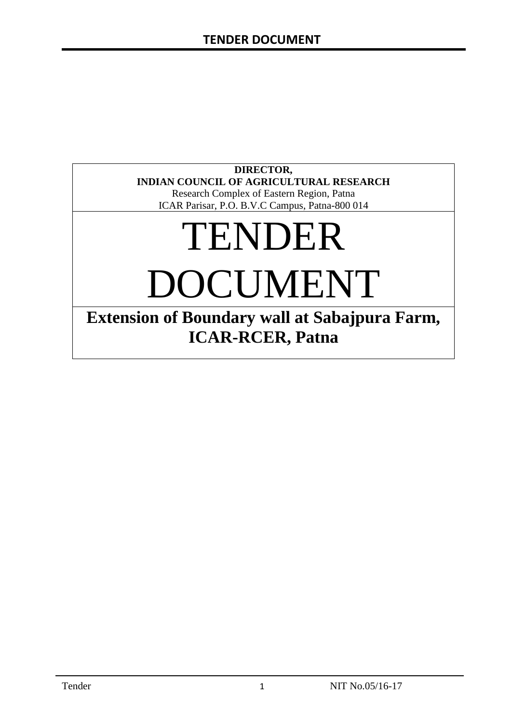#### **DIRECTOR, INDIAN COUNCIL OF AGRICULTURAL RESEARCH**

Research Complex of Eastern Region, Patna ICAR Parisar, P.O. B.V.C Campus, Patna-800 014

# TENDER

DOCUMENT

**Extension of Boundary wall at Sabajpura Farm, ICAR-RCER, Patna**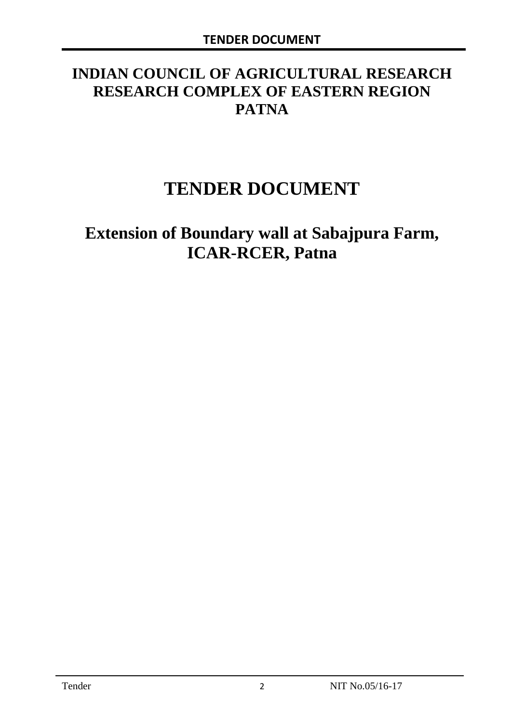# **INDIAN COUNCIL OF AGRICULTURAL RESEARCH RESEARCH COMPLEX OF EASTERN REGION PATNA**

# **TENDER DOCUMENT**

# **Extension of Boundary wall at Sabajpura Farm, ICAR-RCER, Patna**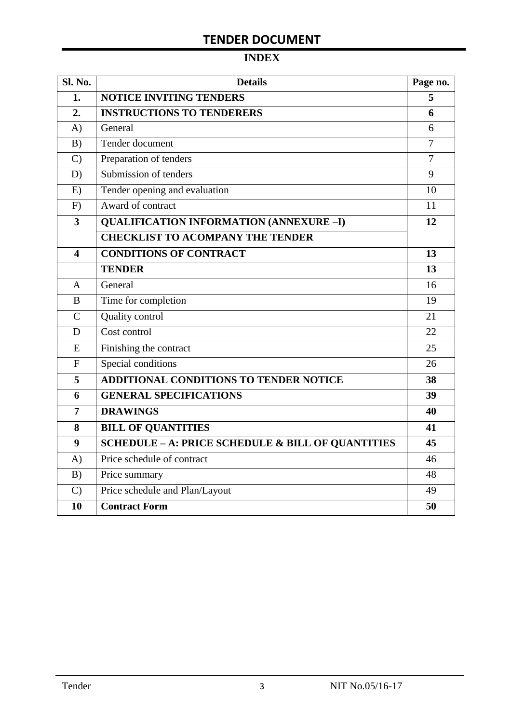# **TENDER DOCUMENT**

# **INDEX**

| Sl. No.                 | <b>Details</b>                                    | Page no.       |
|-------------------------|---------------------------------------------------|----------------|
| 1.                      | <b>NOTICE INVITING TENDERS</b>                    | 5              |
| 2.                      | <b>INSTRUCTIONS TO TENDERERS</b>                  | 6              |
| A)                      | General                                           | 6              |
| B)                      | Tender document                                   | 7              |
| $\mathcal{C}$           | Preparation of tenders                            | $\overline{7}$ |
| D)                      | Submission of tenders                             | 9              |
| E)                      | Tender opening and evaluation                     | 10             |
| F)                      | Award of contract                                 | 11             |
| $\overline{\mathbf{3}}$ | <b>QUALIFICATION INFORMATION (ANNEXURE-I)</b>     | 12             |
|                         | <b>CHECKLIST TO ACOMPANY THE TENDER</b>           |                |
| 4                       | <b>CONDITIONS OF CONTRACT</b>                     | 13             |
|                         | <b>TENDER</b>                                     | 13             |
| $\overline{A}$          | General                                           | 16             |
| B                       | Time for completion                               | 19             |
| $\overline{C}$          | Quality control                                   | 21             |
| D                       | Cost control                                      | 22             |
| E                       | Finishing the contract                            | 25             |
| $\mathbf{F}$            | Special conditions                                | 26             |
| 5                       | <b>ADDITIONAL CONDITIONS TO TENDER NOTICE</b>     | 38             |
| 6                       | <b>GENERAL SPECIFICATIONS</b>                     | 39             |
| $\overline{7}$          | <b>DRAWINGS</b>                                   | 40             |
| 8                       | <b>BILL OF QUANTITIES</b>                         | 41             |
| 9                       | SCHEDULE - A: PRICE SCHEDULE & BILL OF QUANTITIES | 45             |
| A)                      | Price schedule of contract                        | 46             |
| B)                      | Price summary                                     | 48             |
| $\mathcal{C}$           | Price schedule and Plan/Layout                    | 49             |
| 10                      | <b>Contract Form</b>                              | 50             |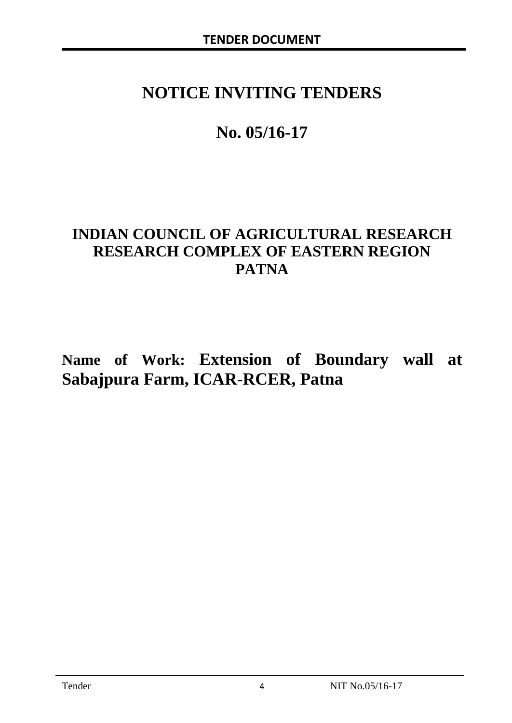# **NOTICE INVITING TENDERS**

# **No. 05/16-17**

# **INDIAN COUNCIL OF AGRICULTURAL RESEARCH RESEARCH COMPLEX OF EASTERN REGION PATNA**

**Name of Work: Extension of Boundary wall at Sabajpura Farm, ICAR-RCER, Patna**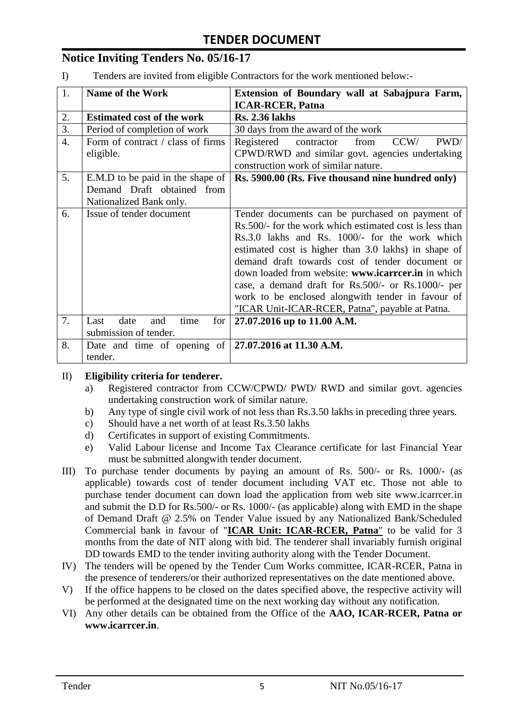## **Notice Inviting Tenders No. 05/16-17**

I) Tenders are invited from eligible Contractors for the work mentioned below:-

| 1.               | <b>Name of the Work</b>                                      | Extension of Boundary wall at Sabajpura Farm,           |
|------------------|--------------------------------------------------------------|---------------------------------------------------------|
|                  |                                                              | <b>ICAR-RCER, Patna</b>                                 |
| 2.               | <b>Estimated cost of the work</b>                            | <b>Rs. 2.36 lakhs</b>                                   |
| 3.               | Period of completion of work                                 | 30 days from the award of the work                      |
| $\overline{4}$ . | Form of contract / class of firms                            | PWD/<br>CCW/<br>Registered<br>from<br>contractor        |
|                  | eligible.                                                    | CPWD/RWD and similar govt. agencies undertaking         |
|                  |                                                              | construction work of similar nature.                    |
| 5.               | E.M.D to be paid in the shape of                             | Rs. 5900.00 (Rs. Five thousand nine hundred only)       |
|                  | Demand Draft obtained from                                   |                                                         |
|                  | Nationalized Bank only.                                      |                                                         |
| 6.               | Issue of tender document                                     | Tender documents can be purchased on payment of         |
|                  |                                                              | Rs.500/- for the work which estimated cost is less than |
|                  |                                                              | Rs.3.0 lakhs and Rs. 1000/- for the work which          |
|                  |                                                              | estimated cost is higher than 3.0 lakhs) in shape of    |
|                  |                                                              | demand draft towards cost of tender document or         |
|                  |                                                              | down loaded from website: www.icarreer.in in which      |
|                  |                                                              | case, a demand draft for Rs.500/- or Rs.1000/- per      |
|                  |                                                              | work to be enclosed alongwith tender in favour of       |
|                  |                                                              | "ICAR Unit-ICAR-RCER, Patna", payable at Patna.         |
| 7.               | date<br>time<br>for<br>Last<br>and                           | 27.07.2016 up to 11.00 A.M.                             |
|                  | submission of tender.                                        |                                                         |
| 8.               | Date and time of opening of $\vert$ 27.07.2016 at 11.30 A.M. |                                                         |
|                  | tender.                                                      |                                                         |

#### II) **Eligibility criteria for tenderer.**

- a) Registered contractor from CCW/CPWD/ PWD/ RWD and similar govt. agencies undertaking construction work of similar nature.
- b) Any type of single civil work of not less than Rs.3.50 lakhs in preceding three years.
- c) Should have a net worth of at least Rs.3.50 lakhs
- d) Certificates in support of existing Commitments.
- e) Valid Labour license and Income Tax Clearance certificate for last Financial Year must be submitted alongwith tender document.
- III) To purchase tender documents by paying an amount of Rs. 500/- or Rs. 1000/- (as applicable) towards cost of tender document including VAT etc. Those not able to purchase tender document can down load the application from web site www.icarrcer.in and submit the D.D for Rs.500/- or Rs. 1000/- (as applicable) along with EMD in the shape of Demand Draft @ 2.5% on Tender Value issued by any Nationalized Bank/Scheduled Commercial bank in favour of "**ICAR Unit: ICAR-RCER, Patna**" to be valid for 3 months from the date of NIT along with bid. The tenderer shall invariably furnish original DD towards EMD to the tender inviting authority along with the Tender Document.
- IV) The tenders will be opened by the Tender Cum Works committee, ICAR-RCER, Patna in the presence of tenderers/or their authorized representatives on the date mentioned above.
- V) If the office happens to be closed on the dates specified above, the respective activity will be performed at the designated time on the next working day without any notification.
- VI) Any other details can be obtained from the Office of the **AAO, ICAR-RCER, Patna or www.icarrcer.in**.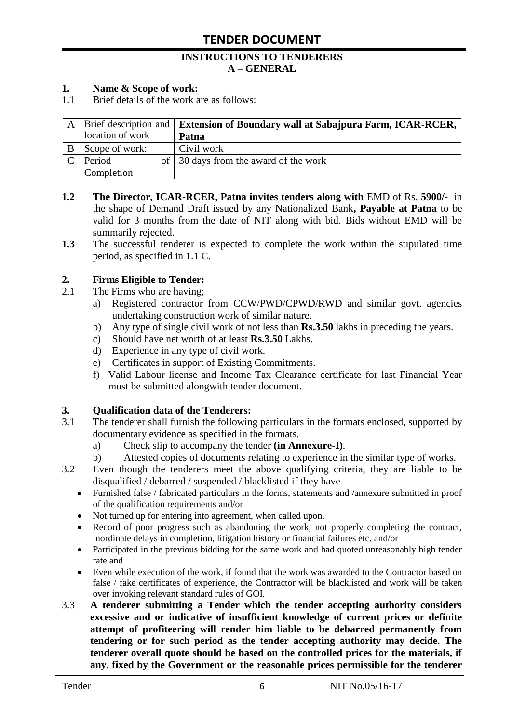#### **INSTRUCTIONS TO TENDERERS A – GENERAL**

#### **1. Name & Scope of work:**

1.1 Brief details of the work are as follows:

|                  | A   Brief description and   Extension of Boundary wall at Sabajpura Farm, ICAR-RCER, |
|------------------|--------------------------------------------------------------------------------------|
| location of work | Patna                                                                                |
| Scope of work:   | Civil work                                                                           |
| Period           | of 30 days from the award of the work                                                |
| Completion       |                                                                                      |

- **1.2** The Director, ICAR-RCER, Patna invites tenders along with EMD of Rs. 5900/- in the shape of Demand Draft issued by any Nationalized Bank**, Payable at Patna** to be valid for 3 months from the date of NIT along with bid. Bids without EMD will be summarily rejected.
- **1.3** The successful tenderer is expected to complete the work within the stipulated time period, as specified in 1.1 C.

#### **2. Firms Eligible to Tender:**

- 2.1 The Firms who are having;
	- a) Registered contractor from CCW/PWD/CPWD/RWD and similar govt. agencies undertaking construction work of similar nature.
	- b) Any type of single civil work of not less than **Rs.3.50** lakhs in preceding the years.
	- c) Should have net worth of at least **Rs.3.50** Lakhs.
	- d) Experience in any type of civil work.
	- e) Certificates in support of Existing Commitments.
	- f) Valid Labour license and Income Tax Clearance certificate for last Financial Year must be submitted alongwith tender document.

#### **3. Qualification data of the Tenderers:**

- 3.1 The tenderer shall furnish the following particulars in the formats enclosed, supported by documentary evidence as specified in the formats.
	- a) Check slip to accompany the tender **(in Annexure-I)**.
	- b) Attested copies of documents relating to experience in the similar type of works.
- 3.2 Even though the tenderers meet the above qualifying criteria, they are liable to be disqualified / debarred / suspended / blacklisted if they have
	- Furnished false / fabricated particulars in the forms, statements and /annexure submitted in proof of the qualification requirements and/or
	- Not turned up for entering into agreement, when called upon.
	- Record of poor progress such as abandoning the work, not properly completing the contract, inordinate delays in completion, litigation history or financial failures etc. and/or
	- Participated in the previous bidding for the same work and had quoted unreasonably high tender rate and
	- Even while execution of the work, if found that the work was awarded to the Contractor based on false / fake certificates of experience, the Contractor will be blacklisted and work will be taken over invoking relevant standard rules of GOI.
- 3.3 **A tenderer submitting a Tender which the tender accepting authority considers excessive and or indicative of insufficient knowledge of current prices or definite attempt of profiteering will render him liable to be debarred permanently from tendering or for such period as the tender accepting authority may decide. The tenderer overall quote should be based on the controlled prices for the materials, if any, fixed by the Government or the reasonable prices permissible for the tenderer**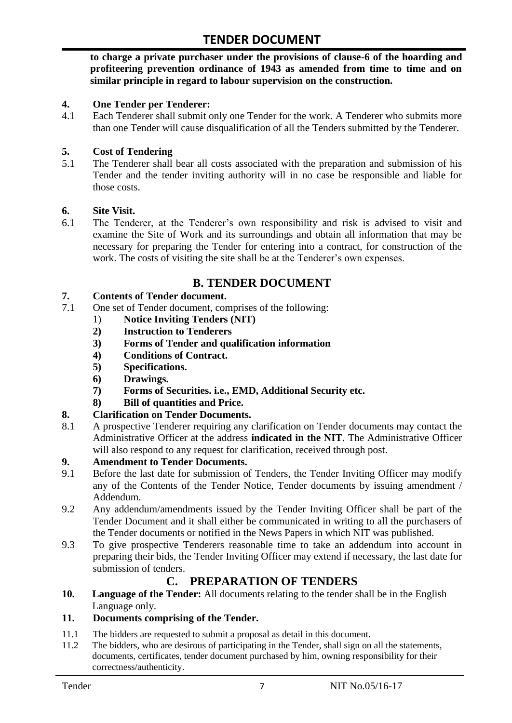**to charge a private purchaser under the provisions of clause-6 of the hoarding and profiteering prevention ordinance of 1943 as amended from time to time and on similar principle in regard to labour supervision on the construction.**

#### **4. One Tender per Tenderer:**

4.1 Each Tenderer shall submit only one Tender for the work. A Tenderer who submits more than one Tender will cause disqualification of all the Tenders submitted by the Tenderer.

#### **5. Cost of Tendering**

5.1 The Tenderer shall bear all costs associated with the preparation and submission of his Tender and the tender inviting authority will in no case be responsible and liable for those costs.

#### **6. Site Visit.**

6.1 The Tenderer, at the Tenderer"s own responsibility and risk is advised to visit and examine the Site of Work and its surroundings and obtain all information that may be necessary for preparing the Tender for entering into a contract, for construction of the work. The costs of visiting the site shall be at the Tenderer's own expenses.

## **B. TENDER DOCUMENT**

#### **7. Contents of Tender document.**

- 7.1 One set of Tender document, comprises of the following:
	- 1) **Notice Inviting Tenders (NIT)**
	- **2) Instruction to Tenderers**
	- **3) Forms of Tender and qualification information**
	- **4) Conditions of Contract.**
	- **5) Specifications.**
	- **6) Drawings.**
	- **7) Forms of Securities. i.e., EMD, Additional Security etc.**
	- **8) Bill of quantities and Price.**

#### **8. Clarification on Tender Documents.**

8.1 A prospective Tenderer requiring any clarification on Tender documents may contact the Administrative Officer at the address **indicated in the NIT**. The Administrative Officer will also respond to any request for clarification, received through post.

#### **9. Amendment to Tender Documents.**

- 9.1 Before the last date for submission of Tenders, the Tender Inviting Officer may modify any of the Contents of the Tender Notice, Tender documents by issuing amendment / Addendum.
- 9.2 Any addendum/amendments issued by the Tender Inviting Officer shall be part of the Tender Document and it shall either be communicated in writing to all the purchasers of the Tender documents or notified in the News Papers in which NIT was published.
- 9.3 To give prospective Tenderers reasonable time to take an addendum into account in preparing their bids, the Tender Inviting Officer may extend if necessary, the last date for submission of tenders.

# **C. PREPARATION OF TENDERS**

**10. Language of the Tender:** All documents relating to the tender shall be in the English Language only.

#### **11. Documents comprising of the Tender.**

- 11.1 The bidders are requested to submit a proposal as detail in this document.<br>11.2 The bidders, who are desirous of participating in the Tender, shall sign on
- The bidders, who are desirous of participating in the Tender, shall sign on all the statements, documents, certificates, tender document purchased by him, owning responsibility for their correctness/authenticity.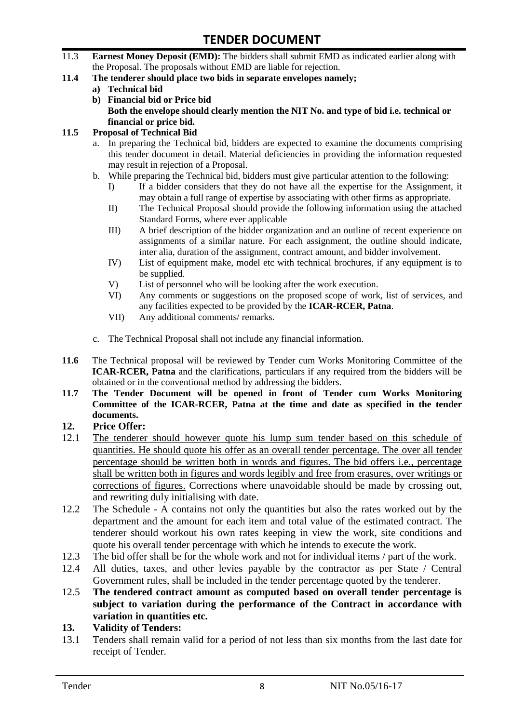- 11.3 **Earnest Money Deposit (EMD):** The bidders shall submit EMD as indicated earlier along with the Proposal. The proposals without EMD are liable for rejection.
- **11.4 The tenderer should place two bids in separate envelopes namely;**
	- **a) Technical bid**
	- **b) Financial bid or Price bid Both the envelope should clearly mention the NIT No. and type of bid i.e. technical or financial or price bid.**

#### **11.5 Proposal of Technical Bid**

- a. In preparing the Technical bid, bidders are expected to examine the documents comprising this tender document in detail. Material deficiencies in providing the information requested may result in rejection of a Proposal.
- b. While preparing the Technical bid, bidders must give particular attention to the following:
	- I) If a bidder considers that they do not have all the expertise for the Assignment, it may obtain a full range of expertise by associating with other firms as appropriate.
	- II) The Technical Proposal should provide the following information using the attached Standard Forms, where ever applicable
	- III) A brief description of the bidder organization and an outline of recent experience on assignments of a similar nature. For each assignment, the outline should indicate, inter alia, duration of the assignment, contract amount, and bidder involvement.
	- IV) List of equipment make, model etc with technical brochures, if any equipment is to be supplied.
	- V) List of personnel who will be looking after the work execution.
	- VI) Any comments or suggestions on the proposed scope of work, list of services, and any facilities expected to be provided by the **ICAR-RCER, Patna**.
	- VII) Any additional comments/ remarks.
- c. The Technical Proposal shall not include any financial information.
- **11.6** The Technical proposal will be reviewed by Tender cum Works Monitoring Committee of the **ICAR-RCER, Patna** and the clarifications, particulars if any required from the bidders will be obtained or in the conventional method by addressing the bidders.
- **11.7 The Tender Document will be opened in front of Tender cum Works Monitoring Committee of the ICAR-RCER, Patna at the time and date as specified in the tender documents.**

#### **12. Price Offer:**

- 12.1 The tenderer should however quote his lump sum tender based on this schedule of quantities. He should quote his offer as an overall tender percentage. The over all tender percentage should be written both in words and figures. The bid offers i.e., percentage shall be written both in figures and words legibly and free from erasures, over writings or corrections of figures. Corrections where unavoidable should be made by crossing out, and rewriting duly initialising with date.
- 12.2 The Schedule A contains not only the quantities but also the rates worked out by the department and the amount for each item and total value of the estimated contract. The tenderer should workout his own rates keeping in view the work, site conditions and quote his overall tender percentage with which he intends to execute the work.
- 12.3 The bid offer shall be for the whole work and not for individual items / part of the work.
- 12.4 All duties, taxes, and other levies payable by the contractor as per State / Central Government rules, shall be included in the tender percentage quoted by the tenderer.
- 12.5 **The tendered contract amount as computed based on overall tender percentage is subject to variation during the performance of the Contract in accordance with variation in quantities etc.**
- **13. Validity of Tenders:**
- 13.1 Tenders shall remain valid for a period of not less than six months from the last date for receipt of Tender.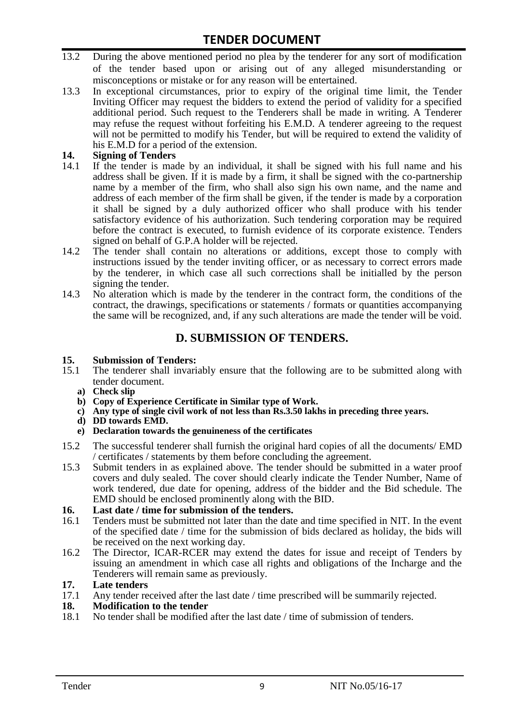- 13.2 During the above mentioned period no plea by the tenderer for any sort of modification of the tender based upon or arising out of any alleged misunderstanding or misconceptions or mistake or for any reason will be entertained.
- 13.3 In exceptional circumstances, prior to expiry of the original time limit, the Tender Inviting Officer may request the bidders to extend the period of validity for a specified additional period. Such request to the Tenderers shall be made in writing. A Tenderer may refuse the request without forfeiting his E.M.D. A tenderer agreeing to the request will not be permitted to modify his Tender, but will be required to extend the validity of his E.M.D for a period of the extension.

# 14. **Signing of Tenders**<br>14.1 If the tender is mag

- If the tender is made by an individual, it shall be signed with his full name and his address shall be given. If it is made by a firm, it shall be signed with the co-partnership name by a member of the firm, who shall also sign his own name, and the name and address of each member of the firm shall be given, if the tender is made by a corporation it shall be signed by a duly authorized officer who shall produce with his tender satisfactory evidence of his authorization. Such tendering corporation may be required before the contract is executed, to furnish evidence of its corporate existence. Tenders signed on behalf of G.P.A holder will be rejected.
- 14.2 The tender shall contain no alterations or additions, except those to comply with instructions issued by the tender inviting officer, or as necessary to correct errors made by the tenderer, in which case all such corrections shall be initialled by the person signing the tender.
- 14.3 No alteration which is made by the tenderer in the contract form, the conditions of the contract, the drawings, specifications or statements / formats or quantities accompanying the same will be recognized, and, if any such alterations are made the tender will be void.

# **D. SUBMISSION OF TENDERS.**

#### **15. Submission of Tenders:**

- 15.1 The tenderer shall invariably ensure that the following are to be submitted along with tender document.
	- **a) Check slip**
	- **b) Copy of Experience Certificate in Similar type of Work.**
	- **c) Any type of single civil work of not less than Rs.3.50 lakhs in preceding three years.**
	- **d) DD towards EMD.**
	- **e) Declaration towards the genuineness of the certificates**
- 15.2 The successful tenderer shall furnish the original hard copies of all the documents/ EMD / certificates / statements by them before concluding the agreement.
- 15.3 Submit tenders in as explained above. The tender should be submitted in a water proof covers and duly sealed. The cover should clearly indicate the Tender Number, Name of work tendered, due date for opening, address of the bidder and the Bid schedule. The EMD should be enclosed prominently along with the BID.

# **16. Last date / time for submission of the tenders.**

- 16.1 Tenders must be submitted not later than the date and time specified in NIT. In the event of the specified date / time for the submission of bids declared as holiday, the bids will be received on the next working day.
- 16.2 The Director, ICAR-RCER may extend the dates for issue and receipt of Tenders by issuing an amendment in which case all rights and obligations of the Incharge and the Tenderers will remain same as previously.

#### **17. Late tenders**

17.1 Any tender received after the last date / time prescribed will be summarily rejected.<br>18. Modification to the tender

# **18. Modification to the tender**<br>18.1 No tender shall be modified

No tender shall be modified after the last date / time of submission of tenders.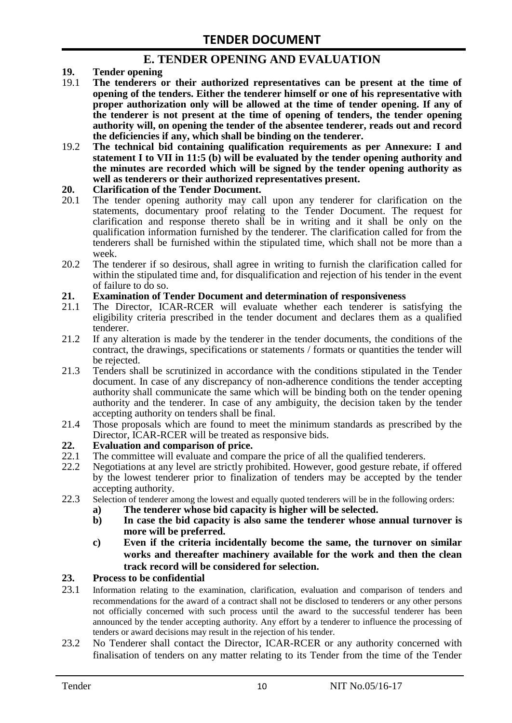## **E. TENDER OPENING AND EVALUATION**

- **19. Tender opening**
- 19.1 **The tenderers or their authorized representatives can be present at the time of opening of the tenders. Either the tenderer himself or one of his representative with proper authorization only will be allowed at the time of tender opening. If any of the tenderer is not present at the time of opening of tenders, the tender opening authority will, on opening the tender of the absentee tenderer, reads out and record the deficiencies if any, which shall be binding on the tenderer.**
- 19.2 **The technical bid containing qualification requirements as per Annexure: I and statement I to VII in 11:5 (b) will be evaluated by the tender opening authority and the minutes are recorded which will be signed by the tender opening authority as well as tenderers or their authorized representatives present.**

#### **20. Clarification of the Tender Document.**

- 20.1 The tender opening authority may call upon any tenderer for clarification on the statements, documentary proof relating to the Tender Document. The request for clarification and response thereto shall be in writing and it shall be only on the qualification information furnished by the tenderer. The clarification called for from the tenderers shall be furnished within the stipulated time, which shall not be more than a week.
- 20.2 The tenderer if so desirous, shall agree in writing to furnish the clarification called for within the stipulated time and, for disqualification and rejection of his tender in the event of failure to do so.

# **21. Examination of Tender Document and determination of responsiveness**

- 21.1 The Director, ICAR-RCER will evaluate whether each tenderer is satisfying the eligibility criteria prescribed in the tender document and declares them as a qualified tenderer.
- 21.2 If any alteration is made by the tenderer in the tender documents, the conditions of the contract, the drawings, specifications or statements / formats or quantities the tender will be rejected.
- 21.3 Tenders shall be scrutinized in accordance with the conditions stipulated in the Tender document. In case of any discrepancy of non-adherence conditions the tender accepting authority shall communicate the same which will be binding both on the tender opening authority and the tenderer. In case of any ambiguity, the decision taken by the tender accepting authority on tenders shall be final.
- 21.4 Those proposals which are found to meet the minimum standards as prescribed by the Director, ICAR-RCER will be treated as responsive bids.

# **22. Evaluation and comparison of price.**

- The committee will evaluate and compare the price of all the qualified tenderers.
- 22.2 Negotiations at any level are strictly prohibited. However, good gesture rebate, if offered by the lowest tenderer prior to finalization of tenders may be accepted by the tender accepting authority.
- 22.3 Selection of tenderer among the lowest and equally quoted tenderers will be in the following orders:
	- **a) The tenderer whose bid capacity is higher will be selected.**
	- **b) In case the bid capacity is also same the tenderer whose annual turnover is more will be preferred.**
	- **c) Even if the criteria incidentally become the same, the turnover on similar works and thereafter machinery available for the work and then the clean track record will be considered for selection.**

#### **23. Process to be confidential**

- 23.1 Information relating to the examination, clarification, evaluation and comparison of tenders and recommendations for the award of a contract shall not be disclosed to tenderers or any other persons not officially concerned with such process until the award to the successful tenderer has been announced by the tender accepting authority. Any effort by a tenderer to influence the processing of tenders or award decisions may result in the rejection of his tender.
- 23.2 No Tenderer shall contact the Director, ICAR-RCER or any authority concerned with finalisation of tenders on any matter relating to its Tender from the time of the Tender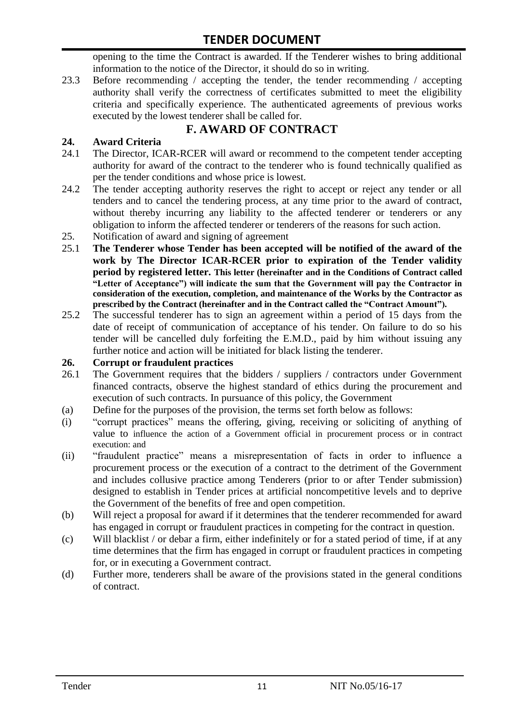opening to the time the Contract is awarded. If the Tenderer wishes to bring additional information to the notice of the Director, it should do so in writing.

23.3 Before recommending / accepting the tender, the tender recommending / accepting authority shall verify the correctness of certificates submitted to meet the eligibility criteria and specifically experience. The authenticated agreements of previous works executed by the lowest tenderer shall be called for.

# **F. AWARD OF CONTRACT**

## **24. Award Criteria**

- 24.1 The Director, ICAR-RCER will award or recommend to the competent tender accepting authority for award of the contract to the tenderer who is found technically qualified as per the tender conditions and whose price is lowest.
- 24.2 The tender accepting authority reserves the right to accept or reject any tender or all tenders and to cancel the tendering process, at any time prior to the award of contract, without thereby incurring any liability to the affected tenderer or tenderers or any obligation to inform the affected tenderer or tenderers of the reasons for such action.
- 25. Notification of award and signing of agreement
- 25.1 **The Tenderer whose Tender has been accepted will be notified of the award of the work by The Director ICAR-RCER prior to expiration of the Tender validity period by registered letter. This letter (hereinafter and in the Conditions of Contract called "Letter of Acceptance") will indicate the sum that the Government will pay the Contractor in consideration of the execution, completion, and maintenance of the Works by the Contractor as prescribed by the Contract (hereinafter and in the Contract called the "Contract Amount").**
- 25.2 The successful tenderer has to sign an agreement within a period of 15 days from the date of receipt of communication of acceptance of his tender. On failure to do so his tender will be cancelled duly forfeiting the E.M.D., paid by him without issuing any further notice and action will be initiated for black listing the tenderer.

#### **26. Corrupt or fraudulent practices**

- 26.1 The Government requires that the bidders / suppliers / contractors under Government financed contracts, observe the highest standard of ethics during the procurement and execution of such contracts. In pursuance of this policy, the Government
- (a) Define for the purposes of the provision, the terms set forth below as follows:
- (i) "corrupt practices" means the offering, giving, receiving or soliciting of anything of value to influence the action of a Government official in procurement process or in contract execution: and
- (ii) "fraudulent practice" means a misrepresentation of facts in order to influence a procurement process or the execution of a contract to the detriment of the Government and includes collusive practice among Tenderers (prior to or after Tender submission) designed to establish in Tender prices at artificial noncompetitive levels and to deprive the Government of the benefits of free and open competition.
- (b) Will reject a proposal for award if it determines that the tenderer recommended for award has engaged in corrupt or fraudulent practices in competing for the contract in question.
- (c) Will blacklist / or debar a firm, either indefinitely or for a stated period of time, if at any time determines that the firm has engaged in corrupt or fraudulent practices in competing for, or in executing a Government contract.
- (d) Further more, tenderers shall be aware of the provisions stated in the general conditions of contract.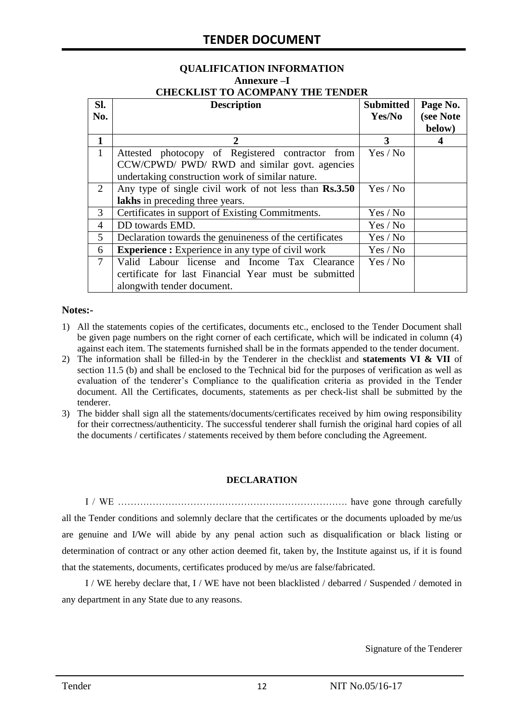# **QUALIFICATION INFORMATION Annexure –I**

| <b>CHECKLIST TO ACOMPANY THE TENDER</b> |  |
|-----------------------------------------|--|
|                                         |  |

| SI.<br>No.     | <b>Description</b>                                                                                | <b>Submitted</b><br>Yes/No | Page No.<br>(see Note<br>below) |
|----------------|---------------------------------------------------------------------------------------------------|----------------------------|---------------------------------|
| 1              | 2                                                                                                 | 3                          | 4                               |
| $\mathbf{1}$   | Attested photocopy of Registered contractor from                                                  | Yes / No                   |                                 |
|                | CCW/CPWD/ PWD/ RWD and similar govt. agencies<br>undertaking construction work of similar nature. |                            |                                 |
| 2              | Any type of single civil work of not less than Rs.3.50<br>Yes / No                                |                            |                                 |
|                | lakhs in preceding three years.                                                                   |                            |                                 |
| 3              | Certificates in support of Existing Commitments.                                                  | Yes / No                   |                                 |
| 4              | DD towards EMD.                                                                                   | Yes / No                   |                                 |
| 5              | Declaration towards the genuineness of the certificates                                           | Yes / No                   |                                 |
| 6              | <b>Experience :</b> Experience in any type of civil work                                          | Yes / No                   |                                 |
| $\overline{7}$ | Valid Labour license and Income Tax Clearance                                                     | Yes / No                   |                                 |
|                | certificate for last Financial Year must be submitted                                             |                            |                                 |
|                | alongwith tender document.                                                                        |                            |                                 |

#### **Notes:-**

- 1) All the statements copies of the certificates, documents etc., enclosed to the Tender Document shall be given page numbers on the right corner of each certificate, which will be indicated in column (4) against each item. The statements furnished shall be in the formats appended to the tender document.
- 2) The information shall be filled-in by the Tenderer in the checklist and **statements VI & VII** of section 11.5 (b) and shall be enclosed to the Technical bid for the purposes of verification as well as evaluation of the tenderer"s Compliance to the qualification criteria as provided in the Tender document. All the Certificates, documents, statements as per check-list shall be submitted by the tenderer.
- 3) The bidder shall sign all the statements/documents/certificates received by him owing responsibility for their correctness/authenticity. The successful tenderer shall furnish the original hard copies of all the documents / certificates / statements received by them before concluding the Agreement.

#### **DECLARATION**

I / WE ………………………………………………………………. have gone through carefully all the Tender conditions and solemnly declare that the certificates or the documents uploaded by me/us are genuine and I/We will abide by any penal action such as disqualification or black listing or determination of contract or any other action deemed fit, taken by, the Institute against us, if it is found that the statements, documents, certificates produced by me/us are false/fabricated.

I / WE hereby declare that, I / WE have not been blacklisted / debarred / Suspended / demoted in any department in any State due to any reasons.

Signature of the Tenderer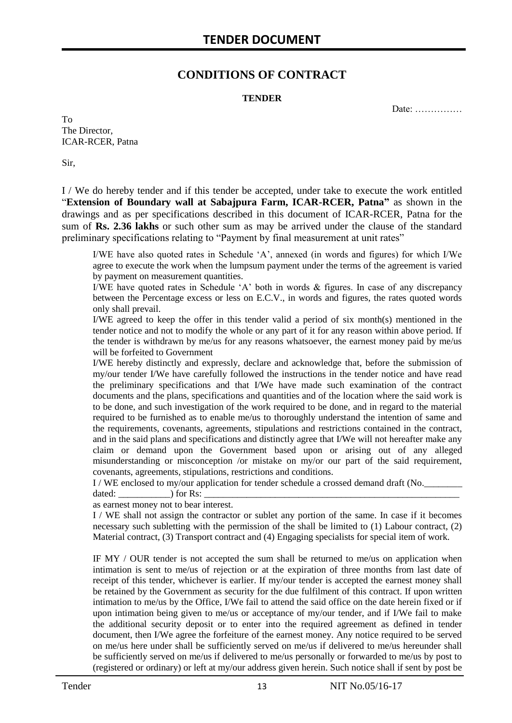## **CONDITIONS OF CONTRACT**

#### **TENDER**

Date: ……………

To The Director, ICAR-RCER, Patna

Sir,

I / We do hereby tender and if this tender be accepted, under take to execute the work entitled "**Extension of Boundary wall at Sabajpura Farm, ICAR-RCER, Patna"** as shown in the drawings and as per specifications described in this document of ICAR-RCER, Patna for the sum of **Rs. 2.36 lakhs** or such other sum as may be arrived under the clause of the standard preliminary specifications relating to "Payment by final measurement at unit rates"

I/WE have also quoted rates in Schedule "A", annexed (in words and figures) for which I/We agree to execute the work when the lumpsum payment under the terms of the agreement is varied by payment on measurement quantities.

I/WE have quoted rates in Schedule 'A' both in words  $\&$  figures. In case of any discrepancy between the Percentage excess or less on E.C.V., in words and figures, the rates quoted words only shall prevail.

I/WE agreed to keep the offer in this tender valid a period of six month(s) mentioned in the tender notice and not to modify the whole or any part of it for any reason within above period. If the tender is withdrawn by me/us for any reasons whatsoever, the earnest money paid by me/us will be forfeited to Government

I/WE hereby distinctly and expressly, declare and acknowledge that, before the submission of my/our tender I/We have carefully followed the instructions in the tender notice and have read the preliminary specifications and that I/We have made such examination of the contract documents and the plans, specifications and quantities and of the location where the said work is to be done, and such investigation of the work required to be done, and in regard to the material required to be furnished as to enable me/us to thoroughly understand the intention of same and the requirements, covenants, agreements, stipulations and restrictions contained in the contract, and in the said plans and specifications and distinctly agree that I/We will not hereafter make any claim or demand upon the Government based upon or arising out of any alleged misunderstanding or misconception /or mistake on my/or our part of the said requirement, covenants, agreements, stipulations, restrictions and conditions.

I / WE enclosed to my/our application for tender schedule a crossed demand draft (No.

dated: \_\_\_\_\_\_\_\_\_\_\_) for Rs: \_\_\_\_\_\_\_\_\_\_\_\_\_\_\_\_\_\_\_\_\_\_\_\_\_\_\_\_\_\_\_\_\_\_\_\_\_\_\_\_\_\_\_\_\_\_\_\_\_\_\_\_\_\_

as earnest money not to bear interest.

I / WE shall not assign the contractor or sublet any portion of the same. In case if it becomes necessary such subletting with the permission of the shall be limited to (1) Labour contract, (2) Material contract, (3) Transport contract and (4) Engaging specialists for special item of work.

IF MY / OUR tender is not accepted the sum shall be returned to me/us on application when intimation is sent to me/us of rejection or at the expiration of three months from last date of receipt of this tender, whichever is earlier. If my/our tender is accepted the earnest money shall be retained by the Government as security for the due fulfilment of this contract. If upon written intimation to me/us by the Office, I/We fail to attend the said office on the date herein fixed or if upon intimation being given to me/us or acceptance of my/our tender, and if I/We fail to make the additional security deposit or to enter into the required agreement as defined in tender document, then I/We agree the forfeiture of the earnest money. Any notice required to be served on me/us here under shall be sufficiently served on me/us if delivered to me/us hereunder shall be sufficiently served on me/us if delivered to me/us personally or forwarded to me/us by post to (registered or ordinary) or left at my/our address given herein. Such notice shall if sent by post be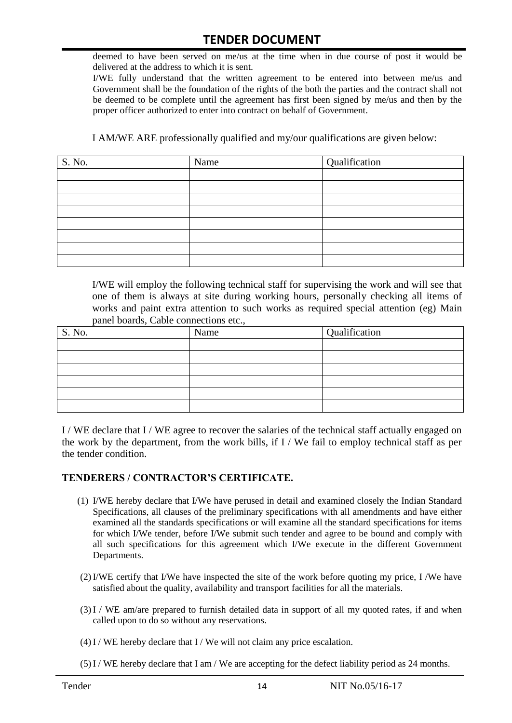deemed to have been served on me/us at the time when in due course of post it would be delivered at the address to which it is sent.

I/WE fully understand that the written agreement to be entered into between me/us and Government shall be the foundation of the rights of the both the parties and the contract shall not be deemed to be complete until the agreement has first been signed by me/us and then by the proper officer authorized to enter into contract on behalf of Government.

I AM/WE ARE professionally qualified and my/our qualifications are given below:

| S. No. | Name | Qualification |
|--------|------|---------------|
|        |      |               |
|        |      |               |
|        |      |               |
|        |      |               |
|        |      |               |
|        |      |               |
|        |      |               |
|        |      |               |

I/WE will employ the following technical staff for supervising the work and will see that one of them is always at site during working hours, personally checking all items of works and paint extra attention to such works as required special attention (eg) Main panel boards, Cable connections etc.,

| S. No. | Name | Qualification |
|--------|------|---------------|
|        |      |               |
|        |      |               |
|        |      |               |
|        |      |               |
|        |      |               |
|        |      |               |

I / WE declare that I / WE agree to recover the salaries of the technical staff actually engaged on the work by the department, from the work bills, if I / We fail to employ technical staff as per the tender condition.

#### **TENDERERS / CONTRACTOR'S CERTIFICATE.**

- (1) I/WE hereby declare that I/We have perused in detail and examined closely the Indian Standard Specifications, all clauses of the preliminary specifications with all amendments and have either examined all the standards specifications or will examine all the standard specifications for items for which I/We tender, before I/We submit such tender and agree to be bound and comply with all such specifications for this agreement which I/We execute in the different Government Departments.
- (2)I/WE certify that I/We have inspected the site of the work before quoting my price, I /We have satisfied about the quality, availability and transport facilities for all the materials.
- (3)I / WE am/are prepared to furnish detailed data in support of all my quoted rates, if and when called upon to do so without any reservations.
- $(4)$ I / WE hereby declare that I / We will not claim any price escalation.
- (5)I / WE hereby declare that I am / We are accepting for the defect liability period as 24 months.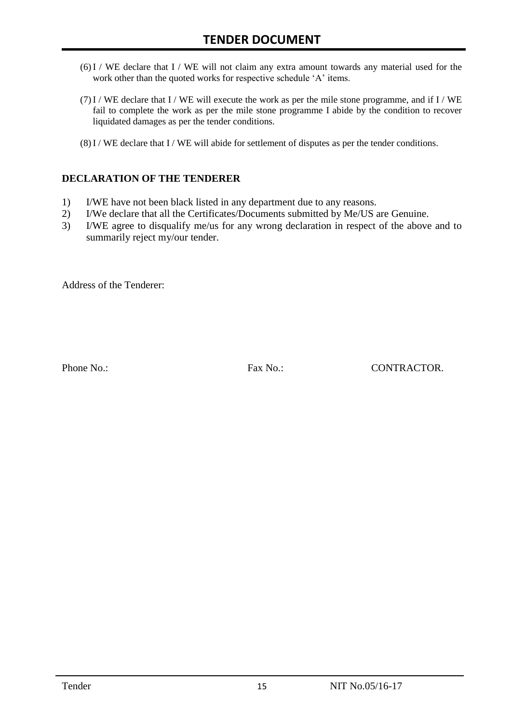- (6)I / WE declare that I / WE will not claim any extra amount towards any material used for the work other than the quoted works for respective schedule 'A' items.
- $(7)$  I / WE declare that I / WE will execute the work as per the mile stone programme, and if I / WE fail to complete the work as per the mile stone programme I abide by the condition to recover liquidated damages as per the tender conditions.
- (8)I / WE declare that I / WE will abide for settlement of disputes as per the tender conditions.

#### **DECLARATION OF THE TENDERER**

- 1) I/WE have not been black listed in any department due to any reasons.
- 2) I/We declare that all the Certificates/Documents submitted by Me/US are Genuine.
- 3) I/WE agree to disqualify me/us for any wrong declaration in respect of the above and to summarily reject my/our tender.

Address of the Tenderer:

Phone No.: Fax No.: Fax No.: CONTRACTOR.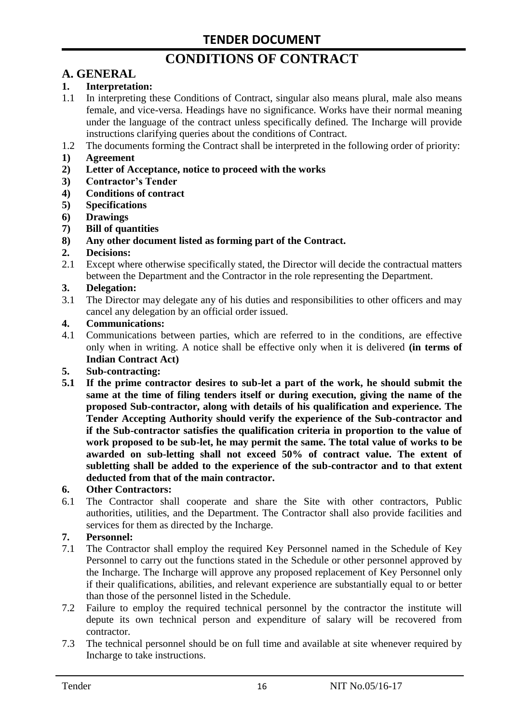# **CONDITIONS OF CONTRACT**

# **A. GENERAL**

#### **1. Interpretation:**

- 1.1 In interpreting these Conditions of Contract, singular also means plural, male also means female, and vice-versa. Headings have no significance. Works have their normal meaning under the language of the contract unless specifically defined. The Incharge will provide instructions clarifying queries about the conditions of Contract.
- 1.2 The documents forming the Contract shall be interpreted in the following order of priority:
- **1) Agreement**
- **2) Letter of Acceptance, notice to proceed with the works**
- **3) Contractor's Tender**
- **4) Conditions of contract**
- **5) Specifications**
- **6) Drawings**
- **7) Bill of quantities**
- **8) Any other document listed as forming part of the Contract.**

#### **2. Decisions:**

2.1 Except where otherwise specifically stated, the Director will decide the contractual matters between the Department and the Contractor in the role representing the Department.

#### **3. Delegation:**

3.1 The Director may delegate any of his duties and responsibilities to other officers and may cancel any delegation by an official order issued.

#### **4. Communications:**

4.1 Communications between parties, which are referred to in the conditions, are effective only when in writing. A notice shall be effective only when it is delivered **(in terms of Indian Contract Act)**

#### **5. Sub-contracting:**

**5.1 If the prime contractor desires to sub-let a part of the work, he should submit the same at the time of filing tenders itself or during execution, giving the name of the proposed Sub-contractor, along with details of his qualification and experience. The Tender Accepting Authority should verify the experience of the Sub-contractor and if the Sub-contractor satisfies the qualification criteria in proportion to the value of work proposed to be sub-let, he may permit the same. The total value of works to be awarded on sub-letting shall not exceed 50% of contract value. The extent of subletting shall be added to the experience of the sub-contractor and to that extent deducted from that of the main contractor.**

#### **6. Other Contractors:**

6.1 The Contractor shall cooperate and share the Site with other contractors, Public authorities, utilities, and the Department. The Contractor shall also provide facilities and services for them as directed by the Incharge.

#### **7. Personnel:**

- 7.1 The Contractor shall employ the required Key Personnel named in the Schedule of Key Personnel to carry out the functions stated in the Schedule or other personnel approved by the Incharge. The Incharge will approve any proposed replacement of Key Personnel only if their qualifications, abilities, and relevant experience are substantially equal to or better than those of the personnel listed in the Schedule.
- 7.2 Failure to employ the required technical personnel by the contractor the institute will depute its own technical person and expenditure of salary will be recovered from contractor.
- 7.3 The technical personnel should be on full time and available at site whenever required by Incharge to take instructions.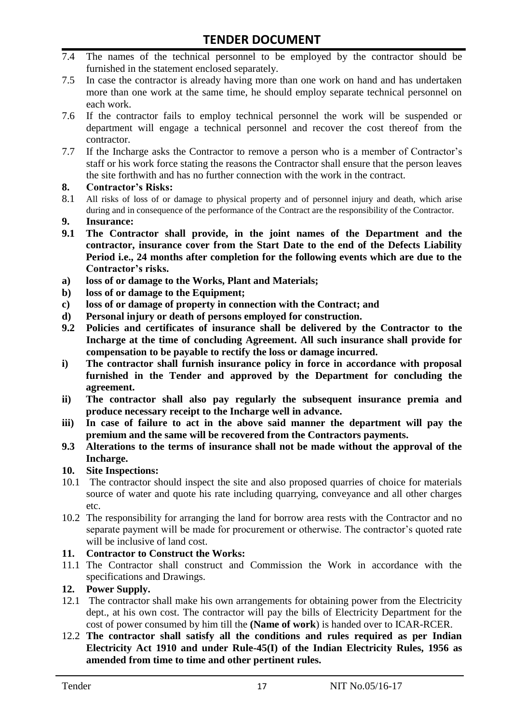- 7.4 The names of the technical personnel to be employed by the contractor should be furnished in the statement enclosed separately.
- 7.5 In case the contractor is already having more than one work on hand and has undertaken more than one work at the same time, he should employ separate technical personnel on each work.
- 7.6 If the contractor fails to employ technical personnel the work will be suspended or department will engage a technical personnel and recover the cost thereof from the contractor.
- 7.7 If the Incharge asks the Contractor to remove a person who is a member of Contractor"s staff or his work force stating the reasons the Contractor shall ensure that the person leaves the site forthwith and has no further connection with the work in the contract.

#### **8. Contractor's Risks:**

- 8.1 All risks of loss of or damage to physical property and of personnel injury and death, which arise during and in consequence of the performance of the Contract are the responsibility of the Contractor.
- **9. Insurance:**
- **9.1 The Contractor shall provide, in the joint names of the Department and the contractor, insurance cover from the Start Date to the end of the Defects Liability Period i.e., 24 months after completion for the following events which are due to the Contractor's risks.**
- **a) loss of or damage to the Works, Plant and Materials;**
- **b) loss of or damage to the Equipment;**
- **c) loss of or damage of property in connection with the Contract; and**
- **d) Personal injury or death of persons employed for construction.**
- **9.2 Policies and certificates of insurance shall be delivered by the Contractor to the Incharge at the time of concluding Agreement. All such insurance shall provide for compensation to be payable to rectify the loss or damage incurred.**
- **i) The contractor shall furnish insurance policy in force in accordance with proposal furnished in the Tender and approved by the Department for concluding the agreement.**
- **ii) The contractor shall also pay regularly the subsequent insurance premia and produce necessary receipt to the Incharge well in advance.**
- **iii) In case of failure to act in the above said manner the department will pay the premium and the same will be recovered from the Contractors payments.**
- **9.3 Alterations to the terms of insurance shall not be made without the approval of the Incharge.**

#### **10. Site Inspections:**

- 10.1 The contractor should inspect the site and also proposed quarries of choice for materials source of water and quote his rate including quarrying, conveyance and all other charges etc.
- 10.2 The responsibility for arranging the land for borrow area rests with the Contractor and no separate payment will be made for procurement or otherwise. The contractor's quoted rate will be inclusive of land cost.

#### **11. Contractor to Construct the Works:**

11.1 The Contractor shall construct and Commission the Work in accordance with the specifications and Drawings.

#### **12. Power Supply.**

- 12.1 The contractor shall make his own arrangements for obtaining power from the Electricity dept., at his own cost. The contractor will pay the bills of Electricity Department for the cost of power consumed by him till the **(Name of work**) is handed over to ICAR-RCER.
- 12.2 **The contractor shall satisfy all the conditions and rules required as per Indian Electricity Act 1910 and under Rule-45(I) of the Indian Electricity Rules, 1956 as amended from time to time and other pertinent rules.**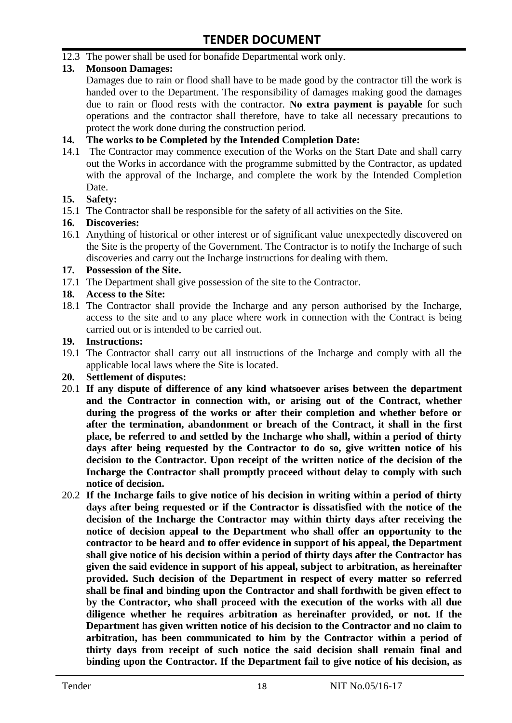12.3 The power shall be used for bonafide Departmental work only.

#### **13. Monsoon Damages:**

Damages due to rain or flood shall have to be made good by the contractor till the work is handed over to the Department. The responsibility of damages making good the damages due to rain or flood rests with the contractor. **No extra payment is payable** for such operations and the contractor shall therefore, have to take all necessary precautions to protect the work done during the construction period.

#### **14. The works to be Completed by the Intended Completion Date:**

14.1 The Contractor may commence execution of the Works on the Start Date and shall carry out the Works in accordance with the programme submitted by the Contractor, as updated with the approval of the Incharge, and complete the work by the Intended Completion Date.

#### **15. Safety:**

15.1 The Contractor shall be responsible for the safety of all activities on the Site.

#### **16. Discoveries:**

16.1 Anything of historical or other interest or of significant value unexpectedly discovered on the Site is the property of the Government. The Contractor is to notify the Incharge of such discoveries and carry out the Incharge instructions for dealing with them.

#### **17. Possession of the Site.**

17.1 The Department shall give possession of the site to the Contractor.

#### **18. Access to the Site:**

18.1 The Contractor shall provide the Incharge and any person authorised by the Incharge, access to the site and to any place where work in connection with the Contract is being carried out or is intended to be carried out.

#### **19. Instructions:**

- 19.1 The Contractor shall carry out all instructions of the Incharge and comply with all the applicable local laws where the Site is located.
- **20. Settlement of disputes:**
- 20.1 **If any dispute of difference of any kind whatsoever arises between the department and the Contractor in connection with, or arising out of the Contract, whether during the progress of the works or after their completion and whether before or after the termination, abandonment or breach of the Contract, it shall in the first place, be referred to and settled by the Incharge who shall, within a period of thirty days after being requested by the Contractor to do so, give written notice of his decision to the Contractor. Upon receipt of the written notice of the decision of the Incharge the Contractor shall promptly proceed without delay to comply with such notice of decision.**
- 20.2 **If the Incharge fails to give notice of his decision in writing within a period of thirty days after being requested or if the Contractor is dissatisfied with the notice of the decision of the Incharge the Contractor may within thirty days after receiving the notice of decision appeal to the Department who shall offer an opportunity to the contractor to be heard and to offer evidence in support of his appeal, the Department shall give notice of his decision within a period of thirty days after the Contractor has given the said evidence in support of his appeal, subject to arbitration, as hereinafter provided. Such decision of the Department in respect of every matter so referred shall be final and binding upon the Contractor and shall forthwith be given effect to by the Contractor, who shall proceed with the execution of the works with all due diligence whether he requires arbitration as hereinafter provided, or not. If the Department has given written notice of his decision to the Contractor and no claim to arbitration, has been communicated to him by the Contractor within a period of thirty days from receipt of such notice the said decision shall remain final and binding upon the Contractor. If the Department fail to give notice of his decision, as**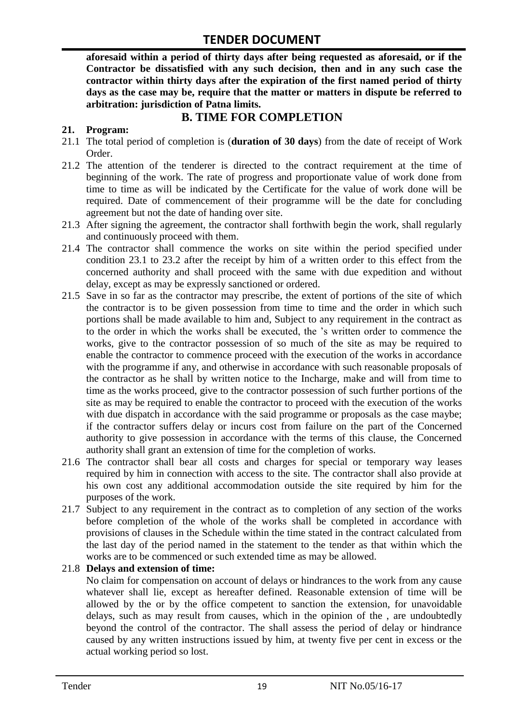**aforesaid within a period of thirty days after being requested as aforesaid, or if the Contractor be dissatisfied with any such decision, then and in any such case the contractor within thirty days after the expiration of the first named period of thirty days as the case may be, require that the matter or matters in dispute be referred to arbitration: jurisdiction of Patna limits.**

## **B. TIME FOR COMPLETION**

#### **21. Program:**

- 21.1 The total period of completion is (**duration of 30 days**) from the date of receipt of Work Order.
- 21.2 The attention of the tenderer is directed to the contract requirement at the time of beginning of the work. The rate of progress and proportionate value of work done from time to time as will be indicated by the Certificate for the value of work done will be required. Date of commencement of their programme will be the date for concluding agreement but not the date of handing over site.
- 21.3 After signing the agreement, the contractor shall forthwith begin the work, shall regularly and continuously proceed with them.
- 21.4 The contractor shall commence the works on site within the period specified under condition 23.1 to 23.2 after the receipt by him of a written order to this effect from the concerned authority and shall proceed with the same with due expedition and without delay, except as may be expressly sanctioned or ordered.
- 21.5 Save in so far as the contractor may prescribe, the extent of portions of the site of which the contractor is to be given possession from time to time and the order in which such portions shall be made available to him and, Subject to any requirement in the contract as to the order in which the works shall be executed, the "s written order to commence the works, give to the contractor possession of so much of the site as may be required to enable the contractor to commence proceed with the execution of the works in accordance with the programme if any, and otherwise in accordance with such reasonable proposals of the contractor as he shall by written notice to the Incharge, make and will from time to time as the works proceed, give to the contractor possession of such further portions of the site as may be required to enable the contractor to proceed with the execution of the works with due dispatch in accordance with the said programme or proposals as the case maybe; if the contractor suffers delay or incurs cost from failure on the part of the Concerned authority to give possession in accordance with the terms of this clause, the Concerned authority shall grant an extension of time for the completion of works.
- 21.6 The contractor shall bear all costs and charges for special or temporary way leases required by him in connection with access to the site. The contractor shall also provide at his own cost any additional accommodation outside the site required by him for the purposes of the work.
- 21.7 Subject to any requirement in the contract as to completion of any section of the works before completion of the whole of the works shall be completed in accordance with provisions of clauses in the Schedule within the time stated in the contract calculated from the last day of the period named in the statement to the tender as that within which the works are to be commenced or such extended time as may be allowed.

#### 21.8 **Delays and extension of time:**

No claim for compensation on account of delays or hindrances to the work from any cause whatever shall lie, except as hereafter defined. Reasonable extension of time will be allowed by the or by the office competent to sanction the extension, for unavoidable delays, such as may result from causes, which in the opinion of the , are undoubtedly beyond the control of the contractor. The shall assess the period of delay or hindrance caused by any written instructions issued by him, at twenty five per cent in excess or the actual working period so lost.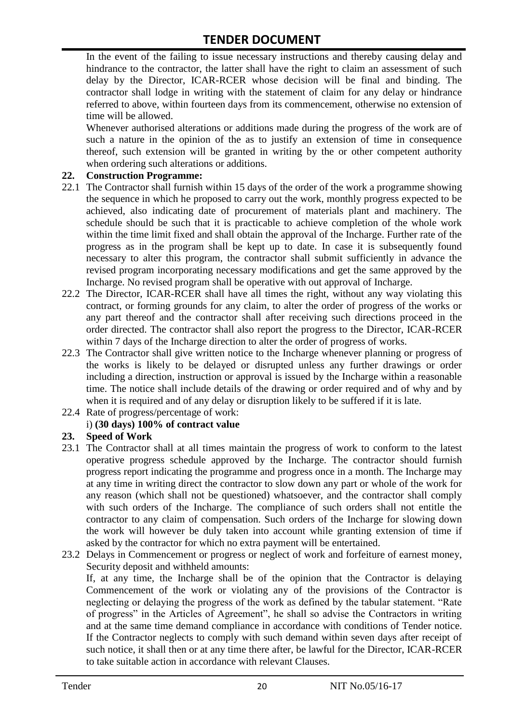In the event of the failing to issue necessary instructions and thereby causing delay and hindrance to the contractor, the latter shall have the right to claim an assessment of such delay by the Director, ICAR-RCER whose decision will be final and binding. The contractor shall lodge in writing with the statement of claim for any delay or hindrance referred to above, within fourteen days from its commencement, otherwise no extension of time will be allowed.

Whenever authorised alterations or additions made during the progress of the work are of such a nature in the opinion of the as to justify an extension of time in consequence thereof, such extension will be granted in writing by the or other competent authority when ordering such alterations or additions.

#### **22. Construction Programme:**

- 22.1 The Contractor shall furnish within 15 days of the order of the work a programme showing the sequence in which he proposed to carry out the work, monthly progress expected to be achieved, also indicating date of procurement of materials plant and machinery. The schedule should be such that it is practicable to achieve completion of the whole work within the time limit fixed and shall obtain the approval of the Incharge. Further rate of the progress as in the program shall be kept up to date. In case it is subsequently found necessary to alter this program, the contractor shall submit sufficiently in advance the revised program incorporating necessary modifications and get the same approved by the Incharge. No revised program shall be operative with out approval of Incharge.
- 22.2 The Director, ICAR-RCER shall have all times the right, without any way violating this contract, or forming grounds for any claim, to alter the order of progress of the works or any part thereof and the contractor shall after receiving such directions proceed in the order directed. The contractor shall also report the progress to the Director, ICAR-RCER within 7 days of the Incharge direction to alter the order of progress of works.
- 22.3 The Contractor shall give written notice to the Incharge whenever planning or progress of the works is likely to be delayed or disrupted unless any further drawings or order including a direction, instruction or approval is issued by the Incharge within a reasonable time. The notice shall include details of the drawing or order required and of why and by when it is required and of any delay or disruption likely to be suffered if it is late.
- 22.4 Rate of progress/percentage of work:

#### i) **(30 days) 100% of contract value**

#### **23. Speed of Work**

- 23.1 The Contractor shall at all times maintain the progress of work to conform to the latest operative progress schedule approved by the Incharge. The contractor should furnish progress report indicating the programme and progress once in a month. The Incharge may at any time in writing direct the contractor to slow down any part or whole of the work for any reason (which shall not be questioned) whatsoever, and the contractor shall comply with such orders of the Incharge. The compliance of such orders shall not entitle the contractor to any claim of compensation. Such orders of the Incharge for slowing down the work will however be duly taken into account while granting extension of time if asked by the contractor for which no extra payment will be entertained.
- 23.2 Delays in Commencement or progress or neglect of work and forfeiture of earnest money, Security deposit and withheld amounts:

If, at any time, the Incharge shall be of the opinion that the Contractor is delaying Commencement of the work or violating any of the provisions of the Contractor is neglecting or delaying the progress of the work as defined by the tabular statement. "Rate of progress" in the Articles of Agreement", he shall so advise the Contractors in writing and at the same time demand compliance in accordance with conditions of Tender notice. If the Contractor neglects to comply with such demand within seven days after receipt of such notice, it shall then or at any time there after, be lawful for the Director, ICAR-RCER to take suitable action in accordance with relevant Clauses.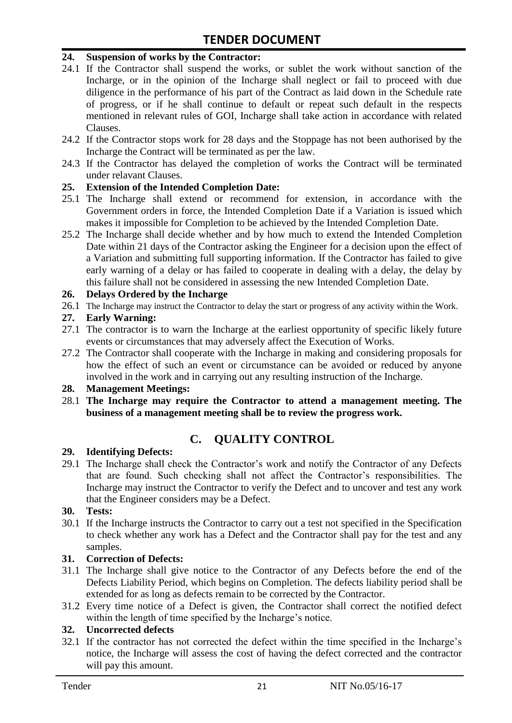#### **24. Suspension of works by the Contractor:**

- 24.1 If the Contractor shall suspend the works, or sublet the work without sanction of the Incharge, or in the opinion of the Incharge shall neglect or fail to proceed with due diligence in the performance of his part of the Contract as laid down in the Schedule rate of progress, or if he shall continue to default or repeat such default in the respects mentioned in relevant rules of GOI, Incharge shall take action in accordance with related Clauses.
- 24.2 If the Contractor stops work for 28 days and the Stoppage has not been authorised by the Incharge the Contract will be terminated as per the law.
- 24.3 If the Contractor has delayed the completion of works the Contract will be terminated under relavant Clauses.

#### **25. Extension of the Intended Completion Date:**

- 25.1 The Incharge shall extend or recommend for extension, in accordance with the Government orders in force, the Intended Completion Date if a Variation is issued which makes it impossible for Completion to be achieved by the Intended Completion Date.
- 25.2 The Incharge shall decide whether and by how much to extend the Intended Completion Date within 21 days of the Contractor asking the Engineer for a decision upon the effect of a Variation and submitting full supporting information. If the Contractor has failed to give early warning of a delay or has failed to cooperate in dealing with a delay, the delay by this failure shall not be considered in assessing the new Intended Completion Date.

#### **26. Delays Ordered by the Incharge**

26.1 The Incharge may instruct the Contractor to delay the start or progress of any activity within the Work.

#### **27. Early Warning:**

- 27.1 The contractor is to warn the Incharge at the earliest opportunity of specific likely future events or circumstances that may adversely affect the Execution of Works.
- 27.2 The Contractor shall cooperate with the Incharge in making and considering proposals for how the effect of such an event or circumstance can be avoided or reduced by anyone involved in the work and in carrying out any resulting instruction of the Incharge.

#### **28. Management Meetings:**

28.1 **The Incharge may require the Contractor to attend a management meeting. The business of a management meeting shall be to review the progress work.**

# **C. QUALITY CONTROL**

#### **29. Identifying Defects:**

29.1 The Incharge shall check the Contractor's work and notify the Contractor of any Defects that are found. Such checking shall not affect the Contractor"s responsibilities. The Incharge may instruct the Contractor to verify the Defect and to uncover and test any work that the Engineer considers may be a Defect.

#### **30. Tests:**

30.1 If the Incharge instructs the Contractor to carry out a test not specified in the Specification to check whether any work has a Defect and the Contractor shall pay for the test and any samples.

#### **31. Correction of Defects:**

- 31.1 The Incharge shall give notice to the Contractor of any Defects before the end of the Defects Liability Period, which begins on Completion. The defects liability period shall be extended for as long as defects remain to be corrected by the Contractor.
- 31.2 Every time notice of a Defect is given, the Contractor shall correct the notified defect within the length of time specified by the Incharge's notice.

#### **32. Uncorrected defects**

32.1 If the contractor has not corrected the defect within the time specified in the Incharge"s notice, the Incharge will assess the cost of having the defect corrected and the contractor will pay this amount.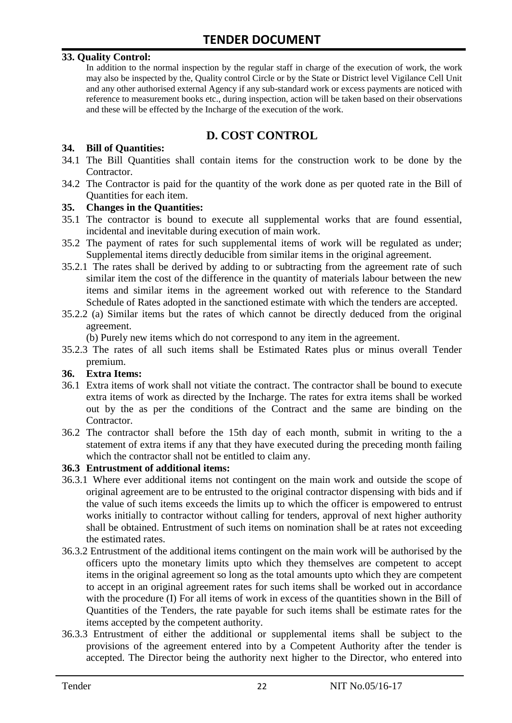#### **33. Quality Control:**

In addition to the normal inspection by the regular staff in charge of the execution of work, the work may also be inspected by the, Quality control Circle or by the State or District level Vigilance Cell Unit and any other authorised external Agency if any sub-standard work or excess payments are noticed with reference to measurement books etc., during inspection, action will be taken based on their observations and these will be effected by the Incharge of the execution of the work.

## **D. COST CONTROL**

#### **34. Bill of Quantities:**

- 34.1 The Bill Quantities shall contain items for the construction work to be done by the Contractor.
- 34.2 The Contractor is paid for the quantity of the work done as per quoted rate in the Bill of Quantities for each item.

#### **35. Changes in the Quantities:**

- 35.1 The contractor is bound to execute all supplemental works that are found essential, incidental and inevitable during execution of main work.
- 35.2 The payment of rates for such supplemental items of work will be regulated as under; Supplemental items directly deducible from similar items in the original agreement.
- 35.2.1 The rates shall be derived by adding to or subtracting from the agreement rate of such similar item the cost of the difference in the quantity of materials labour between the new items and similar items in the agreement worked out with reference to the Standard Schedule of Rates adopted in the sanctioned estimate with which the tenders are accepted.
- 35.2.2 (a) Similar items but the rates of which cannot be directly deduced from the original agreement.

(b) Purely new items which do not correspond to any item in the agreement.

35.2.3 The rates of all such items shall be Estimated Rates plus or minus overall Tender premium.

#### **36. Extra Items:**

- 36.1 Extra items of work shall not vitiate the contract. The contractor shall be bound to execute extra items of work as directed by the Incharge. The rates for extra items shall be worked out by the as per the conditions of the Contract and the same are binding on the Contractor.
- 36.2 The contractor shall before the 15th day of each month, submit in writing to the a statement of extra items if any that they have executed during the preceding month failing which the contractor shall not be entitled to claim any.

#### **36.3 Entrustment of additional items:**

- 36.3.1 Where ever additional items not contingent on the main work and outside the scope of original agreement are to be entrusted to the original contractor dispensing with bids and if the value of such items exceeds the limits up to which the officer is empowered to entrust works initially to contractor without calling for tenders, approval of next higher authority shall be obtained. Entrustment of such items on nomination shall be at rates not exceeding the estimated rates.
- 36.3.2 Entrustment of the additional items contingent on the main work will be authorised by the officers upto the monetary limits upto which they themselves are competent to accept items in the original agreement so long as the total amounts upto which they are competent to accept in an original agreement rates for such items shall be worked out in accordance with the procedure (I) For all items of work in excess of the quantities shown in the Bill of Quantities of the Tenders, the rate payable for such items shall be estimate rates for the items accepted by the competent authority.
- 36.3.3 Entrustment of either the additional or supplemental items shall be subject to the provisions of the agreement entered into by a Competent Authority after the tender is accepted. The Director being the authority next higher to the Director, who entered into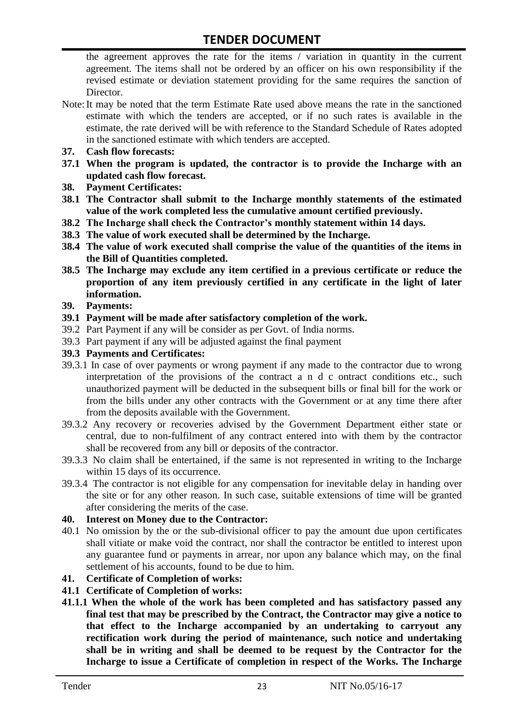the agreement approves the rate for the items / variation in quantity in the current agreement. The items shall not be ordered by an officer on his own responsibility if the revised estimate or deviation statement providing for the same requires the sanction of Director.

- Note:It may be noted that the term Estimate Rate used above means the rate in the sanctioned estimate with which the tenders are accepted, or if no such rates is available in the estimate, the rate derived will be with reference to the Standard Schedule of Rates adopted in the sanctioned estimate with which tenders are accepted.
- **37. Cash flow forecasts:**
- **37.1 When the program is updated, the contractor is to provide the Incharge with an updated cash flow forecast.**
- **38. Payment Certificates:**
- **38.1 The Contractor shall submit to the Incharge monthly statements of the estimated value of the work completed less the cumulative amount certified previously.**
- **38.2 The Incharge shall check the Contractor's monthly statement within 14 days.**
- **38.3 The value of work executed shall be determined by the Incharge.**
- **38.4 The value of work executed shall comprise the value of the quantities of the items in the Bill of Quantities completed.**
- **38.5 The Incharge may exclude any item certified in a previous certificate or reduce the proportion of any item previously certified in any certificate in the light of later information.**
- **39. Payments:**
- **39.1 Payment will be made after satisfactory completion of the work.**
- 39.2 Part Payment if any will be consider as per Govt. of India norms.
- 39.3 Part payment if any will be adjusted against the final payment
- **39.3 Payments and Certificates:**
- 39.3.1 In case of over payments or wrong payment if any made to the contractor due to wrong interpretation of the provisions of the contract a n d c ontract conditions etc., such unauthorized payment will be deducted in the subsequent bills or final bill for the work or from the bills under any other contracts with the Government or at any time there after from the deposits available with the Government.
- 39.3.2 Any recovery or recoveries advised by the Government Department either state or central, due to non-fulfilment of any contract entered into with them by the contractor shall be recovered from any bill or deposits of the contractor.
- 39.3.3 No claim shall be entertained, if the same is not represented in writing to the Incharge within 15 days of its occurrence.
- 39.3.4 The contractor is not eligible for any compensation for inevitable delay in handing over the site or for any other reason. In such case, suitable extensions of time will be granted after considering the merits of the case.

#### **40. Interest on Money due to the Contractor:**

- 40.1 No omission by the or the sub-divisional officer to pay the amount due upon certificates shall vitiate or make void the contract, nor shall the contractor be entitled to interest upon any guarantee fund or payments in arrear, nor upon any balance which may, on the final settlement of his accounts, found to be due to him.
- **41. Certificate of Completion of works:**
- **41.1 Certificate of Completion of works:**
- **41.1.1 When the whole of the work has been completed and has satisfactory passed any final test that may be prescribed by the Contract, the Contractor may give a notice to that effect to the Incharge accompanied by an undertaking to carryout any rectification work during the period of maintenance, such notice and undertaking shall be in writing and shall be deemed to be request by the Contractor for the Incharge to issue a Certificate of completion in respect of the Works. The Incharge**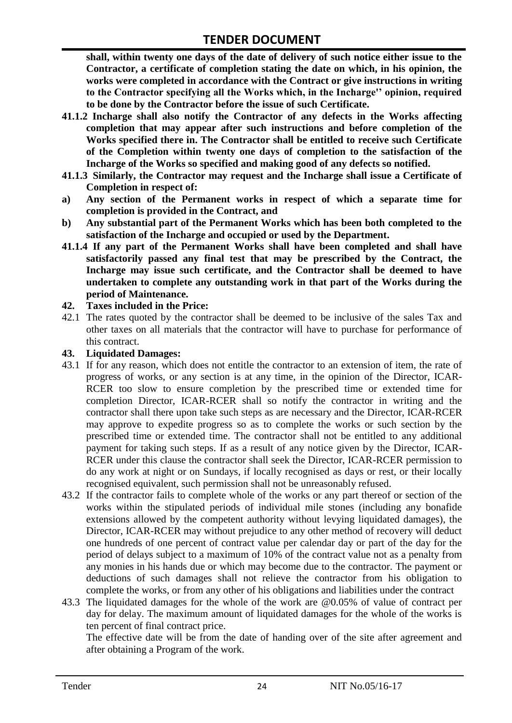**shall, within twenty one days of the date of delivery of such notice either issue to the Contractor, a certificate of completion stating the date on which, in his opinion, the works were completed in accordance with the Contract or give instructions in writing to the Contractor specifying all the Works which, in the Incharge'' opinion, required to be done by the Contractor before the issue of such Certificate.**

- **41.1.2 Incharge shall also notify the Contractor of any defects in the Works affecting completion that may appear after such instructions and before completion of the Works specified there in. The Contractor shall be entitled to receive such Certificate of the Completion within twenty one days of completion to the satisfaction of the Incharge of the Works so specified and making good of any defects so notified.**
- **41.1.3 Similarly, the Contractor may request and the Incharge shall issue a Certificate of Completion in respect of:**
- **a) Any section of the Permanent works in respect of which a separate time for completion is provided in the Contract, and**
- **b) Any substantial part of the Permanent Works which has been both completed to the satisfaction of the Incharge and occupied or used by the Department.**
- **41.1.4 If any part of the Permanent Works shall have been completed and shall have satisfactorily passed any final test that may be prescribed by the Contract, the Incharge may issue such certificate, and the Contractor shall be deemed to have undertaken to complete any outstanding work in that part of the Works during the period of Maintenance.**

#### **42. Taxes included in the Price:**

42.1 The rates quoted by the contractor shall be deemed to be inclusive of the sales Tax and other taxes on all materials that the contractor will have to purchase for performance of this contract.

#### **43. Liquidated Damages:**

- 43.1 If for any reason, which does not entitle the contractor to an extension of item, the rate of progress of works, or any section is at any time, in the opinion of the Director, ICAR-RCER too slow to ensure completion by the prescribed time or extended time for completion Director, ICAR-RCER shall so notify the contractor in writing and the contractor shall there upon take such steps as are necessary and the Director, ICAR-RCER may approve to expedite progress so as to complete the works or such section by the prescribed time or extended time. The contractor shall not be entitled to any additional payment for taking such steps. If as a result of any notice given by the Director, ICAR-RCER under this clause the contractor shall seek the Director, ICAR-RCER permission to do any work at night or on Sundays, if locally recognised as days or rest, or their locally recognised equivalent, such permission shall not be unreasonably refused.
- 43.2 If the contractor fails to complete whole of the works or any part thereof or section of the works within the stipulated periods of individual mile stones (including any bonafide extensions allowed by the competent authority without levying liquidated damages), the Director, ICAR-RCER may without prejudice to any other method of recovery will deduct one hundreds of one percent of contract value per calendar day or part of the day for the period of delays subject to a maximum of 10% of the contract value not as a penalty from any monies in his hands due or which may become due to the contractor. The payment or deductions of such damages shall not relieve the contractor from his obligation to complete the works, or from any other of his obligations and liabilities under the contract
- 43.3 The liquidated damages for the whole of the work are @0.05% of value of contract per day for delay. The maximum amount of liquidated damages for the whole of the works is ten percent of final contract price.

The effective date will be from the date of handing over of the site after agreement and after obtaining a Program of the work.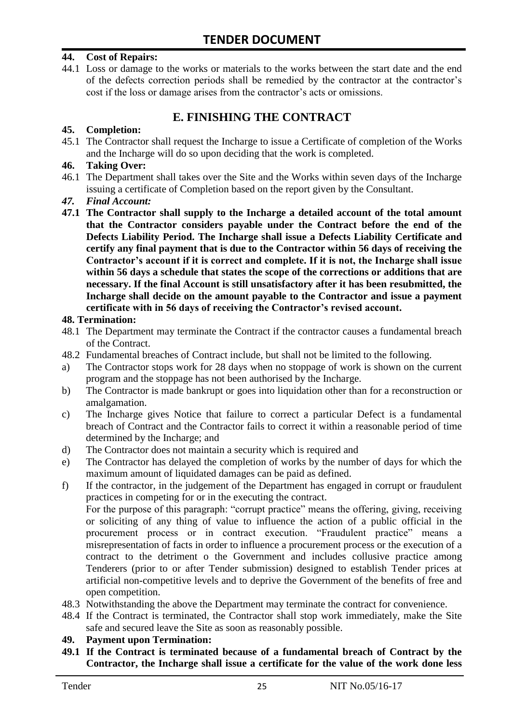#### **44. Cost of Repairs:**

44.1 Loss or damage to the works or materials to the works between the start date and the end of the defects correction periods shall be remedied by the contractor at the contractor"s cost if the loss or damage arises from the contractor's acts or omissions.

## **E. FINISHING THE CONTRACT**

#### **45. Completion:**

45.1 The Contractor shall request the Incharge to issue a Certificate of completion of the Works and the Incharge will do so upon deciding that the work is completed.

#### **46. Taking Over:**

- 46.1 The Department shall takes over the Site and the Works within seven days of the Incharge issuing a certificate of Completion based on the report given by the Consultant.
- *47. Final Account:*
- **47.1 The Contractor shall supply to the Incharge a detailed account of the total amount that the Contractor considers payable under the Contract before the end of the Defects Liability Period. The Incharge shall issue a Defects Liability Certificate and certify any final payment that is due to the Contractor within 56 days of receiving the Contractor's account if it is correct and complete. If it is not, the Incharge shall issue within 56 days a schedule that states the scope of the corrections or additions that are necessary. If the final Account is still unsatisfactory after it has been resubmitted, the Incharge shall decide on the amount payable to the Contractor and issue a payment certificate with in 56 days of receiving the Contractor's revised account.**

#### **48. Termination:**

- 48.1 The Department may terminate the Contract if the contractor causes a fundamental breach of the Contract.
- 48.2 Fundamental breaches of Contract include, but shall not be limited to the following.
- a) The Contractor stops work for 28 days when no stoppage of work is shown on the current program and the stoppage has not been authorised by the Incharge.
- b) The Contractor is made bankrupt or goes into liquidation other than for a reconstruction or amalgamation.
- c) The Incharge gives Notice that failure to correct a particular Defect is a fundamental breach of Contract and the Contractor fails to correct it within a reasonable period of time determined by the Incharge; and
- d) The Contractor does not maintain a security which is required and
- e) The Contractor has delayed the completion of works by the number of days for which the maximum amount of liquidated damages can be paid as defined.
- f) If the contractor, in the judgement of the Department has engaged in corrupt or fraudulent practices in competing for or in the executing the contract.

For the purpose of this paragraph: "corrupt practice" means the offering, giving, receiving or soliciting of any thing of value to influence the action of a public official in the procurement process or in contract execution. "Fraudulent practice" means a misrepresentation of facts in order to influence a procurement process or the execution of a contract to the detriment o the Government and includes collusive practice among Tenderers (prior to or after Tender submission) designed to establish Tender prices at artificial non-competitive levels and to deprive the Government of the benefits of free and open competition.

- 48.3 Notwithstanding the above the Department may terminate the contract for convenience.
- 48.4 If the Contract is terminated, the Contractor shall stop work immediately, make the Site safe and secured leave the Site as soon as reasonably possible.

#### **49. Payment upon Termination:**

**49.1 If the Contract is terminated because of a fundamental breach of Contract by the Contractor, the Incharge shall issue a certificate for the value of the work done less**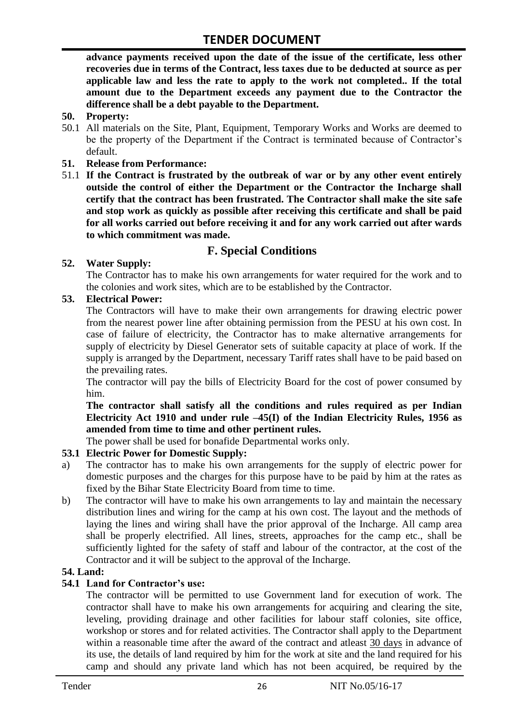**advance payments received upon the date of the issue of the certificate, less other recoveries due in terms of the Contract, less taxes due to be deducted at source as per applicable law and less the rate to apply to the work not completed.. If the total amount due to the Department exceeds any payment due to the Contractor the difference shall be a debt payable to the Department.**

- **50. Property:**
- 50.1 All materials on the Site, Plant, Equipment, Temporary Works and Works are deemed to be the property of the Department if the Contract is terminated because of Contractor's default.
- **51. Release from Performance:**
- 51.1 **If the Contract is frustrated by the outbreak of war or by any other event entirely outside the control of either the Department or the Contractor the Incharge shall certify that the contract has been frustrated. The Contractor shall make the site safe and stop work as quickly as possible after receiving this certificate and shall be paid for all works carried out before receiving it and for any work carried out after wards to which commitment was made.**

# **F. Special Conditions**

#### **52. Water Supply:**

The Contractor has to make his own arrangements for water required for the work and to the colonies and work sites, which are to be established by the Contractor.

#### **53. Electrical Power:**

The Contractors will have to make their own arrangements for drawing electric power from the nearest power line after obtaining permission from the PESU at his own cost. In case of failure of electricity, the Contractor has to make alternative arrangements for supply of electricity by Diesel Generator sets of suitable capacity at place of work. If the supply is arranged by the Department, necessary Tariff rates shall have to be paid based on the prevailing rates.

The contractor will pay the bills of Electricity Board for the cost of power consumed by him.

**The contractor shall satisfy all the conditions and rules required as per Indian Electricity Act 1910 and under rule –45(I) of the Indian Electricity Rules, 1956 as amended from time to time and other pertinent rules.**

The power shall be used for bonafide Departmental works only.

#### **53.1 Electric Power for Domestic Supply:**

- a) The contractor has to make his own arrangements for the supply of electric power for domestic purposes and the charges for this purpose have to be paid by him at the rates as fixed by the Bihar State Electricity Board from time to time.
- b) The contractor will have to make his own arrangements to lay and maintain the necessary distribution lines and wiring for the camp at his own cost. The layout and the methods of laying the lines and wiring shall have the prior approval of the Incharge. All camp area shall be properly electrified. All lines, streets, approaches for the camp etc., shall be sufficiently lighted for the safety of staff and labour of the contractor, at the cost of the Contractor and it will be subject to the approval of the Incharge.

#### **54. Land:**

#### **54.1 Land for Contractor's use:**

The contractor will be permitted to use Government land for execution of work. The contractor shall have to make his own arrangements for acquiring and clearing the site, leveling, providing drainage and other facilities for labour staff colonies, site office, workshop or stores and for related activities. The Contractor shall apply to the Department within a reasonable time after the award of the contract and atleast 30 days in advance of its use, the details of land required by him for the work at site and the land required for his camp and should any private land which has not been acquired, be required by the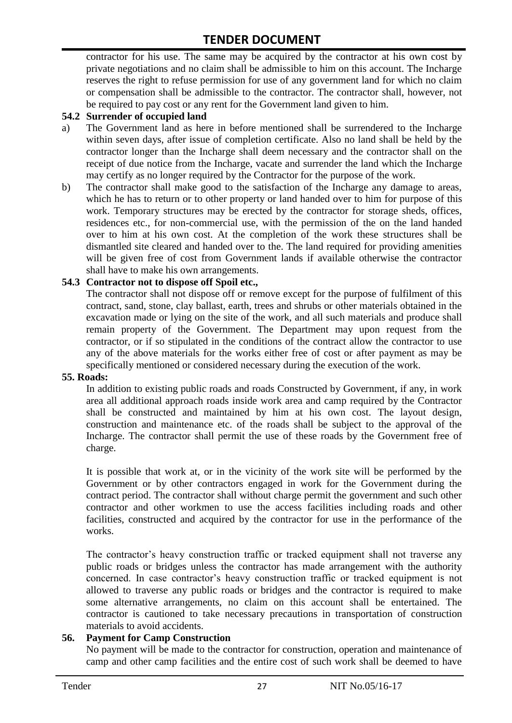contractor for his use. The same may be acquired by the contractor at his own cost by private negotiations and no claim shall be admissible to him on this account. The Incharge reserves the right to refuse permission for use of any government land for which no claim or compensation shall be admissible to the contractor. The contractor shall, however, not be required to pay cost or any rent for the Government land given to him.

#### **54.2 Surrender of occupied land**

- a) The Government land as here in before mentioned shall be surrendered to the Incharge within seven days, after issue of completion certificate. Also no land shall be held by the contractor longer than the Incharge shall deem necessary and the contractor shall on the receipt of due notice from the Incharge, vacate and surrender the land which the Incharge may certify as no longer required by the Contractor for the purpose of the work.
- b) The contractor shall make good to the satisfaction of the Incharge any damage to areas, which he has to return or to other property or land handed over to him for purpose of this work. Temporary structures may be erected by the contractor for storage sheds, offices, residences etc., for non-commercial use, with the permission of the on the land handed over to him at his own cost. At the completion of the work these structures shall be dismantled site cleared and handed over to the. The land required for providing amenities will be given free of cost from Government lands if available otherwise the contractor shall have to make his own arrangements.

#### **54.3 Contractor not to dispose off Spoil etc.,**

The contractor shall not dispose off or remove except for the purpose of fulfilment of this contract, sand, stone, clay ballast, earth, trees and shrubs or other materials obtained in the excavation made or lying on the site of the work, and all such materials and produce shall remain property of the Government. The Department may upon request from the contractor, or if so stipulated in the conditions of the contract allow the contractor to use any of the above materials for the works either free of cost or after payment as may be specifically mentioned or considered necessary during the execution of the work.

#### **55. Roads:**

In addition to existing public roads and roads Constructed by Government, if any, in work area all additional approach roads inside work area and camp required by the Contractor shall be constructed and maintained by him at his own cost. The layout design, construction and maintenance etc. of the roads shall be subject to the approval of the Incharge. The contractor shall permit the use of these roads by the Government free of charge.

It is possible that work at, or in the vicinity of the work site will be performed by the Government or by other contractors engaged in work for the Government during the contract period. The contractor shall without charge permit the government and such other contractor and other workmen to use the access facilities including roads and other facilities, constructed and acquired by the contractor for use in the performance of the works.

The contractor's heavy construction traffic or tracked equipment shall not traverse any public roads or bridges unless the contractor has made arrangement with the authority concerned. In case contractor"s heavy construction traffic or tracked equipment is not allowed to traverse any public roads or bridges and the contractor is required to make some alternative arrangements, no claim on this account shall be entertained. The contractor is cautioned to take necessary precautions in transportation of construction materials to avoid accidents.

#### **56. Payment for Camp Construction**

No payment will be made to the contractor for construction, operation and maintenance of camp and other camp facilities and the entire cost of such work shall be deemed to have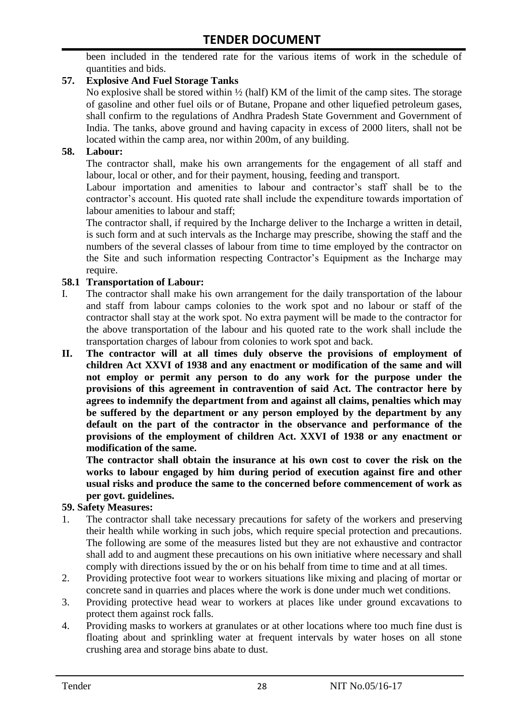been included in the tendered rate for the various items of work in the schedule of quantities and bids.

#### **57. Explosive And Fuel Storage Tanks**

No explosive shall be stored within ½ (half) KM of the limit of the camp sites. The storage of gasoline and other fuel oils or of Butane, Propane and other liquefied petroleum gases, shall confirm to the regulations of Andhra Pradesh State Government and Government of India. The tanks, above ground and having capacity in excess of 2000 liters, shall not be located within the camp area, nor within 200m, of any building.

#### **58. Labour:**

The contractor shall, make his own arrangements for the engagement of all staff and labour, local or other, and for their payment, housing, feeding and transport.

Labour importation and amenities to labour and contractor's staff shall be to the contractor's account. His quoted rate shall include the expenditure towards importation of labour amenities to labour and staff;

The contractor shall, if required by the Incharge deliver to the Incharge a written in detail, is such form and at such intervals as the Incharge may prescribe, showing the staff and the numbers of the several classes of labour from time to time employed by the contractor on the Site and such information respecting Contractor"s Equipment as the Incharge may require.

#### **58.1 Transportation of Labour:**

- I. The contractor shall make his own arrangement for the daily transportation of the labour and staff from labour camps colonies to the work spot and no labour or staff of the contractor shall stay at the work spot. No extra payment will be made to the contractor for the above transportation of the labour and his quoted rate to the work shall include the transportation charges of labour from colonies to work spot and back.
- **II. The contractor will at all times duly observe the provisions of employment of children Act XXVI of 1938 and any enactment or modification of the same and will not employ or permit any person to do any work for the purpose under the provisions of this agreement in contravention of said Act. The contractor here by agrees to indemnify the department from and against all claims, penalties which may be suffered by the department or any person employed by the department by any default on the part of the contractor in the observance and performance of the provisions of the employment of children Act. XXVI of 1938 or any enactment or modification of the same.**

**The contractor shall obtain the insurance at his own cost to cover the risk on the works to labour engaged by him during period of execution against fire and other usual risks and produce the same to the concerned before commencement of work as per govt. guidelines.**

#### **59. Safety Measures:**

- 1. The contractor shall take necessary precautions for safety of the workers and preserving their health while working in such jobs, which require special protection and precautions. The following are some of the measures listed but they are not exhaustive and contractor shall add to and augment these precautions on his own initiative where necessary and shall comply with directions issued by the or on his behalf from time to time and at all times.
- 2. Providing protective foot wear to workers situations like mixing and placing of mortar or concrete sand in quarries and places where the work is done under much wet conditions.
- 3. Providing protective head wear to workers at places like under ground excavations to protect them against rock falls.
- 4. Providing masks to workers at granulates or at other locations where too much fine dust is floating about and sprinkling water at frequent intervals by water hoses on all stone crushing area and storage bins abate to dust.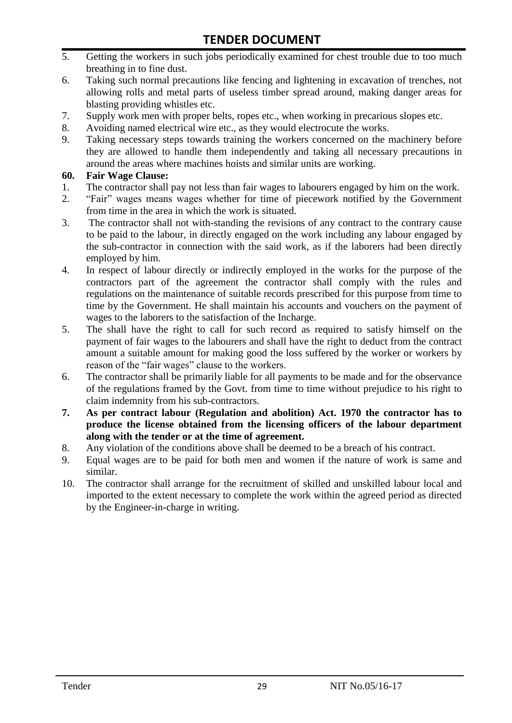- 5. Getting the workers in such jobs periodically examined for chest trouble due to too much breathing in to fine dust.
- 6. Taking such normal precautions like fencing and lightening in excavation of trenches, not allowing rolls and metal parts of useless timber spread around, making danger areas for blasting providing whistles etc.
- 7. Supply work men with proper belts, ropes etc., when working in precarious slopes etc.
- 8. Avoiding named electrical wire etc., as they would electrocute the works.
- 9. Taking necessary steps towards training the workers concerned on the machinery before they are allowed to handle them independently and taking all necessary precautions in around the areas where machines hoists and similar units are working.

#### **60. Fair Wage Clause:**

- 1. The contractor shall pay not less than fair wages to labourers engaged by him on the work.
- 2. "Fair" wages means wages whether for time of piecework notified by the Government from time in the area in which the work is situated.
- 3. The contractor shall not with-standing the revisions of any contract to the contrary cause to be paid to the labour, in directly engaged on the work including any labour engaged by the sub-contractor in connection with the said work, as if the laborers had been directly employed by him.
- 4. In respect of labour directly or indirectly employed in the works for the purpose of the contractors part of the agreement the contractor shall comply with the rules and regulations on the maintenance of suitable records prescribed for this purpose from time to time by the Government. He shall maintain his accounts and vouchers on the payment of wages to the laborers to the satisfaction of the Incharge.
- 5. The shall have the right to call for such record as required to satisfy himself on the payment of fair wages to the labourers and shall have the right to deduct from the contract amount a suitable amount for making good the loss suffered by the worker or workers by reason of the "fair wages" clause to the workers.
- 6. The contractor shall be primarily liable for all payments to be made and for the observance of the regulations framed by the Govt. from time to time without prejudice to his right to claim indemnity from his sub-contractors.
- **7. As per contract labour (Regulation and abolition) Act. 1970 the contractor has to produce the license obtained from the licensing officers of the labour department along with the tender or at the time of agreement.**
- 8. Any violation of the conditions above shall be deemed to be a breach of his contract.
- 9. Equal wages are to be paid for both men and women if the nature of work is same and similar.
- 10. The contractor shall arrange for the recruitment of skilled and unskilled labour local and imported to the extent necessary to complete the work within the agreed period as directed by the Engineer-in-charge in writing.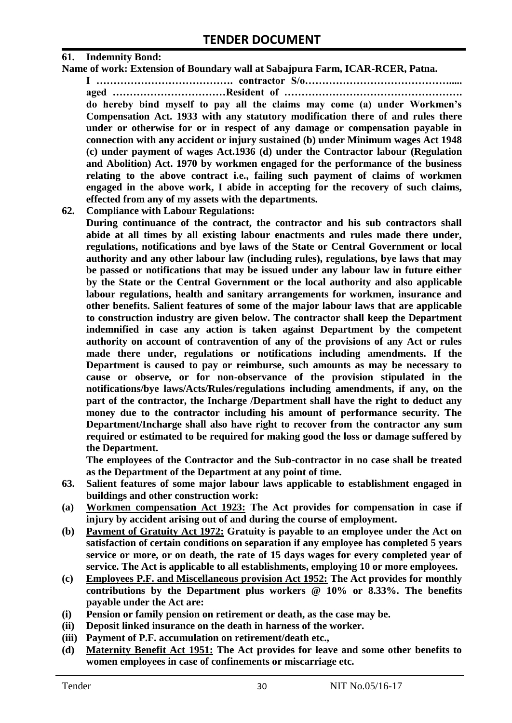#### **61. Indemnity Bond:**

**Name of work: Extension of Boundary wall at Sabajpura Farm, ICAR-RCER, Patna.**

**I …………………………………. contractor S/o……………………………………..... aged ……………………………Resident of ……………………………………………. do hereby bind myself to pay all the claims may come (a) under Workmen's Compensation Act. 1933 with any statutory modification there of and rules there under or otherwise for or in respect of any damage or compensation payable in connection with any accident or injury sustained (b) under Minimum wages Act 1948 (c) under payment of wages Act.1936 (d) under the Contractor labour (Regulation and Abolition) Act. 1970 by workmen engaged for the performance of the business relating to the above contract i.e., failing such payment of claims of workmen engaged in the above work, I abide in accepting for the recovery of such claims, effected from any of my assets with the departments.**

**62. Compliance with Labour Regulations:**

**During continuance of the contract, the contractor and his sub contractors shall abide at all times by all existing labour enactments and rules made there under, regulations, notifications and bye laws of the State or Central Government or local authority and any other labour law (including rules), regulations, bye laws that may be passed or notifications that may be issued under any labour law in future either by the State or the Central Government or the local authority and also applicable labour regulations, health and sanitary arrangements for workmen, insurance and other benefits. Salient features of some of the major labour laws that are applicable to construction industry are given below. The contractor shall keep the Department indemnified in case any action is taken against Department by the competent authority on account of contravention of any of the provisions of any Act or rules made there under, regulations or notifications including amendments. If the Department is caused to pay or reimburse, such amounts as may be necessary to cause or observe, or for non-observance of the provision stipulated in the notifications/bye laws/Acts/Rules/regulations including amendments, if any, on the part of the contractor, the Incharge /Department shall have the right to deduct any money due to the contractor including his amount of performance security. The Department/Incharge shall also have right to recover from the contractor any sum required or estimated to be required for making good the loss or damage suffered by the Department.**

**The employees of the Contractor and the Sub-contractor in no case shall be treated as the Department of the Department at any point of time.**

- **63. Salient features of some major labour laws applicable to establishment engaged in buildings and other construction work:**
- **(a) Workmen compensation Act 1923: The Act provides for compensation in case if injury by accident arising out of and during the course of employment.**
- **(b) Payment of Gratuity Act 1972: Gratuity is payable to an employee under the Act on satisfaction of certain conditions on separation if any employee has completed 5 years service or more, or on death, the rate of 15 days wages for every completed year of service. The Act is applicable to all establishments, employing 10 or more employees.**
- **(c) Employees P.F. and Miscellaneous provision Act 1952: The Act provides for monthly contributions by the Department plus workers @ 10% or 8.33%. The benefits payable under the Act are:**
- **(i) Pension or family pension on retirement or death, as the case may be.**
- **(ii) Deposit linked insurance on the death in harness of the worker.**
- **(iii) Payment of P.F. accumulation on retirement/death etc.,**
- **(d) Maternity Benefit Act 1951: The Act provides for leave and some other benefits to women employees in case of confinements or miscarriage etc.**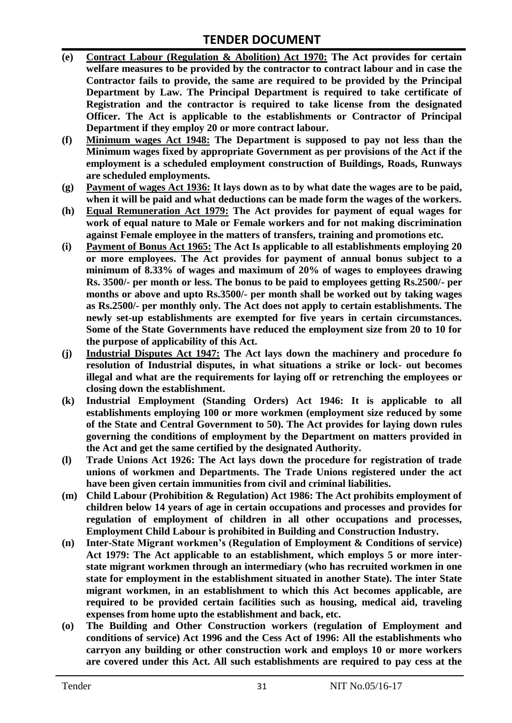## **TENDER DOCUMENT**

- **(e) Contract Labour (Regulation & Abolition) Act 1970: The Act provides for certain**  welfare measures to be provided by the contractor to contract labour and in case the **Contractor fails to provide, the same are required to be provided by the Principal Department by Law. The Principal Department is required to take certificate of Registration and the contractor is required to take license from the designated Officer. The Act is applicable to the establishments or Contractor of Principal Department if they employ 20 or more contract labour.**
- **(f) Minimum wages Act 1948: The Department is supposed to pay not less than the Minimum wages fixed by appropriate Government as per provisions of the Act if the employment is a scheduled employment construction of Buildings, Roads, Runways are scheduled employments.**
- **(g) Payment of wages Act 1936: It lays down as to by what date the wages are to be paid, when it will be paid and what deductions can be made form the wages of the workers.**
- **(h) Equal Remuneration Act 1979: The Act provides for payment of equal wages for work of equal nature to Male or Female workers and for not making discrimination against Female employee in the matters of transfers, training and promotions etc.**
- **(i) Payment of Bonus Act 1965: The Act Is applicable to all establishments employing 20 or more employees. The Act provides for payment of annual bonus subject to a minimum of 8.33% of wages and maximum of 20% of wages to employees drawing Rs. 3500/- per month or less. The bonus to be paid to employees getting Rs.2500/- per months or above and upto Rs.3500/- per month shall be worked out by taking wages as Rs.2500/- per monthly only. The Act does not apply to certain establishments. The newly set-up establishments are exempted for five years in certain circumstances. Some of the State Governments have reduced the employment size from 20 to 10 for the purpose of applicability of this Act.**
- **(j) Industrial Disputes Act 1947: The Act lays down the machinery and procedure fo resolution of Industrial disputes, in what situations a strike or lock- out becomes illegal and what are the requirements for laying off or retrenching the employees or closing down the establishment.**
- **(k) Industrial Employment (Standing Orders) Act 1946: It is applicable to all establishments employing 100 or more workmen (employment size reduced by some of the State and Central Government to 50). The Act provides for laying down rules governing the conditions of employment by the Department on matters provided in the Act and get the same certified by the designated Authority.**
- **(l) Trade Unions Act 1926: The Act lays down the procedure for registration of trade unions of workmen and Departments. The Trade Unions registered under the act have been given certain immunities from civil and criminal liabilities.**
- **(m) Child Labour (Prohibition & Regulation) Act 1986: The Act prohibits employment of children below 14 years of age in certain occupations and processes and provides for regulation of employment of children in all other occupations and processes, Employment Child Labour is prohibited in Building and Construction Industry.**
- **(n) Inter-State Migrant workmen's (Regulation of Employment & Conditions of service) Act 1979: The Act applicable to an establishment, which employs 5 or more interstate migrant workmen through an intermediary (who has recruited workmen in one state for employment in the establishment situated in another State). The inter State migrant workmen, in an establishment to which this Act becomes applicable, are required to be provided certain facilities such as housing, medical aid, traveling expenses from home upto the establishment and back, etc.**
- **(o) The Building and Other Construction workers (regulation of Employment and conditions of service) Act 1996 and the Cess Act of 1996: All the establishments who carryon any building or other construction work and employs 10 or more workers are covered under this Act. All such establishments are required to pay cess at the**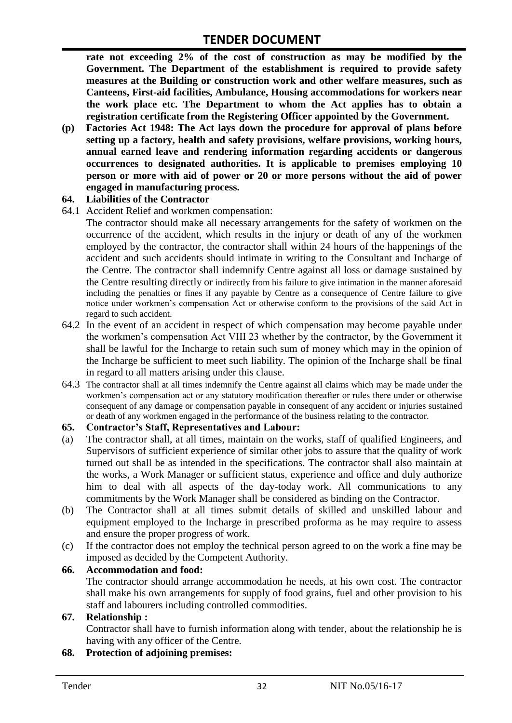**rate not exceeding 2% of the cost of construction as may be modified by the Government. The Department of the establishment is required to provide safety measures at the Building or construction work and other welfare measures, such as Canteens, First-aid facilities, Ambulance, Housing accommodations for workers near the work place etc. The Department to whom the Act applies has to obtain a registration certificate from the Registering Officer appointed by the Government.**

**(p) Factories Act 1948: The Act lays down the procedure for approval of plans before setting up a factory, health and safety provisions, welfare provisions, working hours, annual earned leave and rendering information regarding accidents or dangerous occurrences to designated authorities. It is applicable to premises employing 10 person or more with aid of power or 20 or more persons without the aid of power engaged in manufacturing process.**

#### **64. Liabilities of the Contractor**

- 64.1 Accident Relief and workmen compensation:
	- The contractor should make all necessary arrangements for the safety of workmen on the occurrence of the accident, which results in the injury or death of any of the workmen employed by the contractor, the contractor shall within 24 hours of the happenings of the accident and such accidents should intimate in writing to the Consultant and Incharge of the Centre. The contractor shall indemnify Centre against all loss or damage sustained by the Centre resulting directly or indirectly from his failure to give intimation in the manner aforesaid including the penalties or fines if any payable by Centre as a consequence of Centre failure to give notice under workmen"s compensation Act or otherwise conform to the provisions of the said Act in regard to such accident.
- 64.2 In the event of an accident in respect of which compensation may become payable under the workmen"s compensation Act VIII 23 whether by the contractor, by the Government it shall be lawful for the Incharge to retain such sum of money which may in the opinion of the Incharge be sufficient to meet such liability. The opinion of the Incharge shall be final in regard to all matters arising under this clause.
- 64.3 The contractor shall at all times indemnify the Centre against all claims which may be made under the workmen"s compensation act or any statutory modification thereafter or rules there under or otherwise consequent of any damage or compensation payable in consequent of any accident or injuries sustained or death of any workmen engaged in the performance of the business relating to the contractor.

#### **65. Contractor's Staff, Representatives and Labour:**

- (a) The contractor shall, at all times, maintain on the works, staff of qualified Engineers, and Supervisors of sufficient experience of similar other jobs to assure that the quality of work turned out shall be as intended in the specifications. The contractor shall also maintain at the works, a Work Manager or sufficient status, experience and office and duly authorize him to deal with all aspects of the day-today work. All communications to any commitments by the Work Manager shall be considered as binding on the Contractor.
- (b) The Contractor shall at all times submit details of skilled and unskilled labour and equipment employed to the Incharge in prescribed proforma as he may require to assess and ensure the proper progress of work.
- (c) If the contractor does not employ the technical person agreed to on the work a fine may be imposed as decided by the Competent Authority.

#### **66. Accommodation and food:**

The contractor should arrange accommodation he needs, at his own cost. The contractor shall make his own arrangements for supply of food grains, fuel and other provision to his staff and labourers including controlled commodities.

#### **67. Relationship :**

Contractor shall have to furnish information along with tender, about the relationship he is having with any officer of the Centre.

#### **68. Protection of adjoining premises:**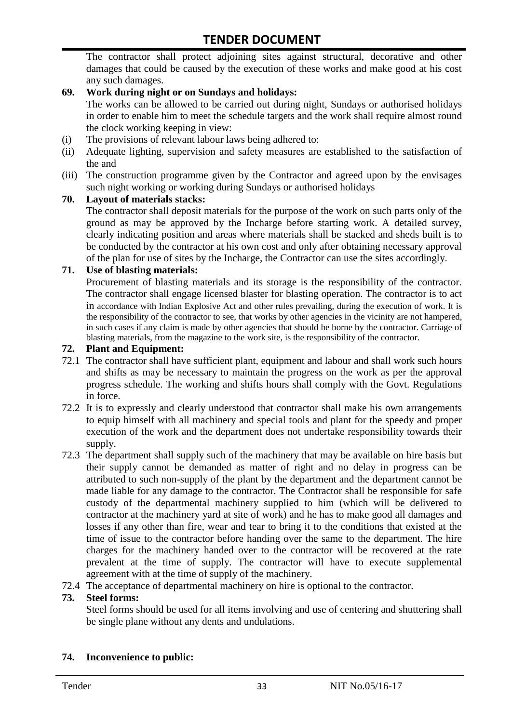The contractor shall protect adjoining sites against structural, decorative and other damages that could be caused by the execution of these works and make good at his cost any such damages.

#### **69. Work during night or on Sundays and holidays:**

The works can be allowed to be carried out during night, Sundays or authorised holidays in order to enable him to meet the schedule targets and the work shall require almost round the clock working keeping in view:

- (i) The provisions of relevant labour laws being adhered to:
- (ii) Adequate lighting, supervision and safety measures are established to the satisfaction of the and
- (iii) The construction programme given by the Contractor and agreed upon by the envisages such night working or working during Sundays or authorised holidays

#### **70. Layout of materials stacks:**

The contractor shall deposit materials for the purpose of the work on such parts only of the ground as may be approved by the Incharge before starting work. A detailed survey, clearly indicating position and areas where materials shall be stacked and sheds built is to be conducted by the contractor at his own cost and only after obtaining necessary approval of the plan for use of sites by the Incharge, the Contractor can use the sites accordingly.

#### **71. Use of blasting materials:**

Procurement of blasting materials and its storage is the responsibility of the contractor. The contractor shall engage licensed blaster for blasting operation. The contractor is to act in accordance with Indian Explosive Act and other rules prevailing, during the execution of work. It is the responsibility of the contractor to see, that works by other agencies in the vicinity are not hampered, in such cases if any claim is made by other agencies that should be borne by the contractor. Carriage of blasting materials, from the magazine to the work site, is the responsibility of the contractor.

#### **72. Plant and Equipment:**

- 72.1 The contractor shall have sufficient plant, equipment and labour and shall work such hours and shifts as may be necessary to maintain the progress on the work as per the approval progress schedule. The working and shifts hours shall comply with the Govt. Regulations in force.
- 72.2 It is to expressly and clearly understood that contractor shall make his own arrangements to equip himself with all machinery and special tools and plant for the speedy and proper execution of the work and the department does not undertake responsibility towards their supply.
- 72.3 The department shall supply such of the machinery that may be available on hire basis but their supply cannot be demanded as matter of right and no delay in progress can be attributed to such non-supply of the plant by the department and the department cannot be made liable for any damage to the contractor. The Contractor shall be responsible for safe custody of the departmental machinery supplied to him (which will be delivered to contractor at the machinery yard at site of work) and he has to make good all damages and losses if any other than fire, wear and tear to bring it to the conditions that existed at the time of issue to the contractor before handing over the same to the department. The hire charges for the machinery handed over to the contractor will be recovered at the rate prevalent at the time of supply. The contractor will have to execute supplemental agreement with at the time of supply of the machinery.
- 72.4 The acceptance of departmental machinery on hire is optional to the contractor.

#### **73. Steel forms:**

Steel forms should be used for all items involving and use of centering and shuttering shall be single plane without any dents and undulations.

#### **74. Inconvenience to public:**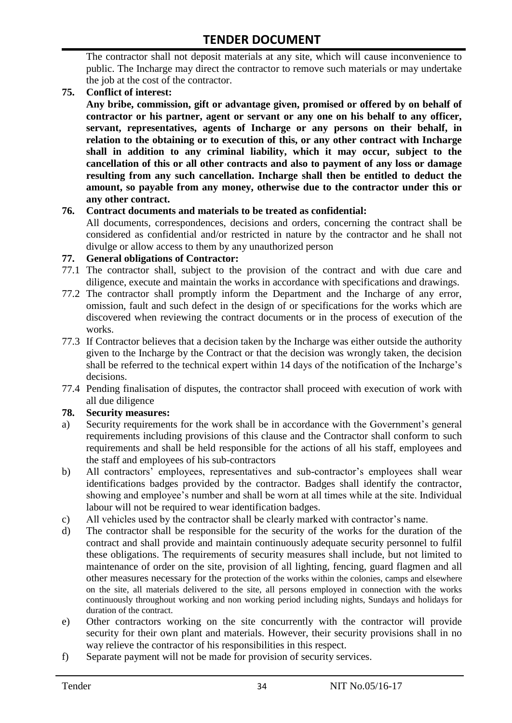The contractor shall not deposit materials at any site, which will cause inconvenience to public. The Incharge may direct the contractor to remove such materials or may undertake the job at the cost of the contractor.

#### **75. Conflict of interest:**

**Any bribe, commission, gift or advantage given, promised or offered by on behalf of contractor or his partner, agent or servant or any one on his behalf to any officer, servant, representatives, agents of Incharge or any persons on their behalf, in relation to the obtaining or to execution of this, or any other contract with Incharge shall in addition to any criminal liability, which it may occur, subject to the cancellation of this or all other contracts and also to payment of any loss or damage resulting from any such cancellation. Incharge shall then be entitled to deduct the amount, so payable from any money, otherwise due to the contractor under this or any other contract.**

#### **76. Contract documents and materials to be treated as confidential:**

All documents, correspondences, decisions and orders, concerning the contract shall be considered as confidential and/or restricted in nature by the contractor and he shall not divulge or allow access to them by any unauthorized person

#### **77. General obligations of Contractor:**

- 77.1 The contractor shall, subject to the provision of the contract and with due care and diligence, execute and maintain the works in accordance with specifications and drawings.
- 77.2 The contractor shall promptly inform the Department and the Incharge of any error, omission, fault and such defect in the design of or specifications for the works which are discovered when reviewing the contract documents or in the process of execution of the works.
- 77.3 If Contractor believes that a decision taken by the Incharge was either outside the authority given to the Incharge by the Contract or that the decision was wrongly taken, the decision shall be referred to the technical expert within 14 days of the notification of the Incharge's decisions.
- 77.4 Pending finalisation of disputes, the contractor shall proceed with execution of work with all due diligence

#### **78. Security measures:**

- a) Security requirements for the work shall be in accordance with the Government's general requirements including provisions of this clause and the Contractor shall conform to such requirements and shall be held responsible for the actions of all his staff, employees and the staff and employees of his sub-contractors
- b) All contractors' employees, representatives and sub-contractor's employees shall wear identifications badges provided by the contractor. Badges shall identify the contractor, showing and employee"s number and shall be worn at all times while at the site. Individual labour will not be required to wear identification badges.
- c) All vehicles used by the contractor shall be clearly marked with contractor"s name.
- d) The contractor shall be responsible for the security of the works for the duration of the contract and shall provide and maintain continuously adequate security personnel to fulfil these obligations. The requirements of security measures shall include, but not limited to maintenance of order on the site, provision of all lighting, fencing, guard flagmen and all other measures necessary for the protection of the works within the colonies, camps and elsewhere on the site, all materials delivered to the site, all persons employed in connection with the works continuously throughout working and non working period including nights, Sundays and holidays for duration of the contract.
- e) Other contractors working on the site concurrently with the contractor will provide security for their own plant and materials. However, their security provisions shall in no way relieve the contractor of his responsibilities in this respect.
- f) Separate payment will not be made for provision of security services.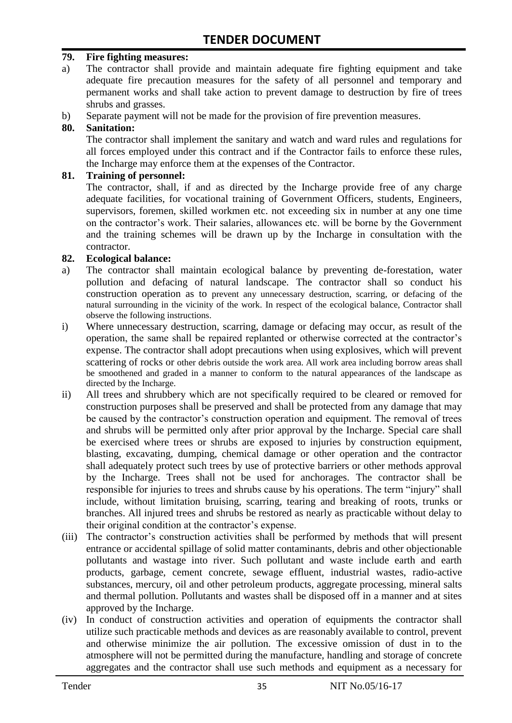#### **79. Fire fighting measures:**

- a) The contractor shall provide and maintain adequate fire fighting equipment and take adequate fire precaution measures for the safety of all personnel and temporary and permanent works and shall take action to prevent damage to destruction by fire of trees shrubs and grasses.
- b) Separate payment will not be made for the provision of fire prevention measures.

#### **80. Sanitation:**

The contractor shall implement the sanitary and watch and ward rules and regulations for all forces employed under this contract and if the Contractor fails to enforce these rules, the Incharge may enforce them at the expenses of the Contractor.

#### **81. Training of personnel:**

The contractor, shall, if and as directed by the Incharge provide free of any charge adequate facilities, for vocational training of Government Officers, students, Engineers, supervisors, foremen, skilled workmen etc. not exceeding six in number at any one time on the contractor"s work. Their salaries, allowances etc. will be borne by the Government and the training schemes will be drawn up by the Incharge in consultation with the contractor.

#### **82. Ecological balance:**

- a) The contractor shall maintain ecological balance by preventing de-forestation, water pollution and defacing of natural landscape. The contractor shall so conduct his construction operation as to prevent any unnecessary destruction, scarring, or defacing of the natural surrounding in the vicinity of the work. In respect of the ecological balance, Contractor shall observe the following instructions.
- i) Where unnecessary destruction, scarring, damage or defacing may occur, as result of the operation, the same shall be repaired replanted or otherwise corrected at the contractor"s expense. The contractor shall adopt precautions when using explosives, which will prevent scattering of rocks or other debris outside the work area. All work area including borrow areas shall be smoothened and graded in a manner to conform to the natural appearances of the landscape as directed by the Incharge.
- ii) All trees and shrubbery which are not specifically required to be cleared or removed for construction purposes shall be preserved and shall be protected from any damage that may be caused by the contractor's construction operation and equipment. The removal of trees and shrubs will be permitted only after prior approval by the Incharge. Special care shall be exercised where trees or shrubs are exposed to injuries by construction equipment, blasting, excavating, dumping, chemical damage or other operation and the contractor shall adequately protect such trees by use of protective barriers or other methods approval by the Incharge. Trees shall not be used for anchorages. The contractor shall be responsible for injuries to trees and shrubs cause by his operations. The term "injury" shall include, without limitation bruising, scarring, tearing and breaking of roots, trunks or branches. All injured trees and shrubs be restored as nearly as practicable without delay to their original condition at the contractor's expense.
- (iii) The contractor"s construction activities shall be performed by methods that will present entrance or accidental spillage of solid matter contaminants, debris and other objectionable pollutants and wastage into river. Such pollutant and waste include earth and earth products, garbage, cement concrete, sewage effluent, industrial wastes, radio-active substances, mercury, oil and other petroleum products, aggregate processing, mineral salts and thermal pollution. Pollutants and wastes shall be disposed off in a manner and at sites approved by the Incharge.
- (iv) In conduct of construction activities and operation of equipments the contractor shall utilize such practicable methods and devices as are reasonably available to control, prevent and otherwise minimize the air pollution. The excessive omission of dust in to the atmosphere will not be permitted during the manufacture, handling and storage of concrete aggregates and the contractor shall use such methods and equipment as a necessary for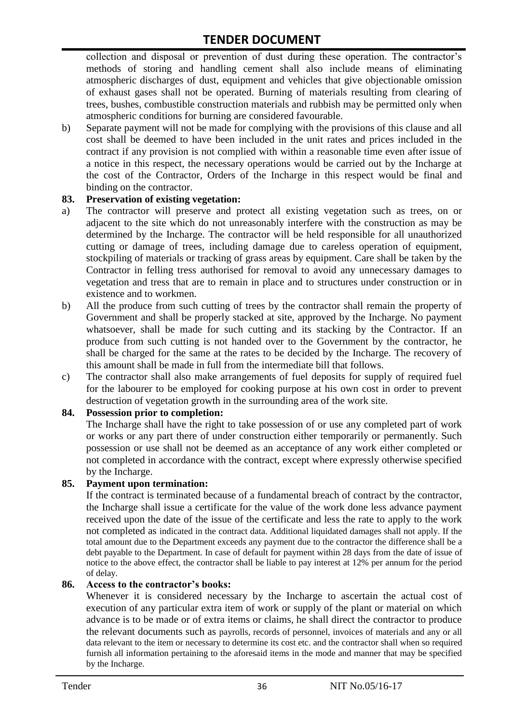collection and disposal or prevention of dust during these operation. The contractor's methods of storing and handling cement shall also include means of eliminating atmospheric discharges of dust, equipment and vehicles that give objectionable omission of exhaust gases shall not be operated. Burning of materials resulting from clearing of trees, bushes, combustible construction materials and rubbish may be permitted only when atmospheric conditions for burning are considered favourable.

b) Separate payment will not be made for complying with the provisions of this clause and all cost shall be deemed to have been included in the unit rates and prices included in the contract if any provision is not complied with within a reasonable time even after issue of a notice in this respect, the necessary operations would be carried out by the Incharge at the cost of the Contractor, Orders of the Incharge in this respect would be final and binding on the contractor.

#### **83. Preservation of existing vegetation:**

- a) The contractor will preserve and protect all existing vegetation such as trees, on or adjacent to the site which do not unreasonably interfere with the construction as may be determined by the Incharge. The contractor will be held responsible for all unauthorized cutting or damage of trees, including damage due to careless operation of equipment, stockpiling of materials or tracking of grass areas by equipment. Care shall be taken by the Contractor in felling tress authorised for removal to avoid any unnecessary damages to vegetation and tress that are to remain in place and to structures under construction or in existence and to workmen.
- b) All the produce from such cutting of trees by the contractor shall remain the property of Government and shall be properly stacked at site, approved by the Incharge. No payment whatsoever, shall be made for such cutting and its stacking by the Contractor. If an produce from such cutting is not handed over to the Government by the contractor, he shall be charged for the same at the rates to be decided by the Incharge. The recovery of this amount shall be made in full from the intermediate bill that follows.
- c) The contractor shall also make arrangements of fuel deposits for supply of required fuel for the labourer to be employed for cooking purpose at his own cost in order to prevent destruction of vegetation growth in the surrounding area of the work site.

#### **84. Possession prior to completion:**

The Incharge shall have the right to take possession of or use any completed part of work or works or any part there of under construction either temporarily or permanently. Such possession or use shall not be deemed as an acceptance of any work either completed or not completed in accordance with the contract, except where expressly otherwise specified by the Incharge.

#### **85. Payment upon termination:**

If the contract is terminated because of a fundamental breach of contract by the contractor, the Incharge shall issue a certificate for the value of the work done less advance payment received upon the date of the issue of the certificate and less the rate to apply to the work not completed as indicated in the contract data. Additional liquidated damages shall not apply. If the total amount due to the Department exceeds any payment due to the contractor the difference shall be a debt payable to the Department. In case of default for payment within 28 days from the date of issue of notice to the above effect, the contractor shall be liable to pay interest at 12% per annum for the period of delay.

#### **86. Access to the contractor's books:**

Whenever it is considered necessary by the Incharge to ascertain the actual cost of execution of any particular extra item of work or supply of the plant or material on which advance is to be made or of extra items or claims, he shall direct the contractor to produce the relevant documents such as payrolls, records of personnel, invoices of materials and any or all data relevant to the item or necessary to determine its cost etc. and the contractor shall when so required furnish all information pertaining to the aforesaid items in the mode and manner that may be specified by the Incharge.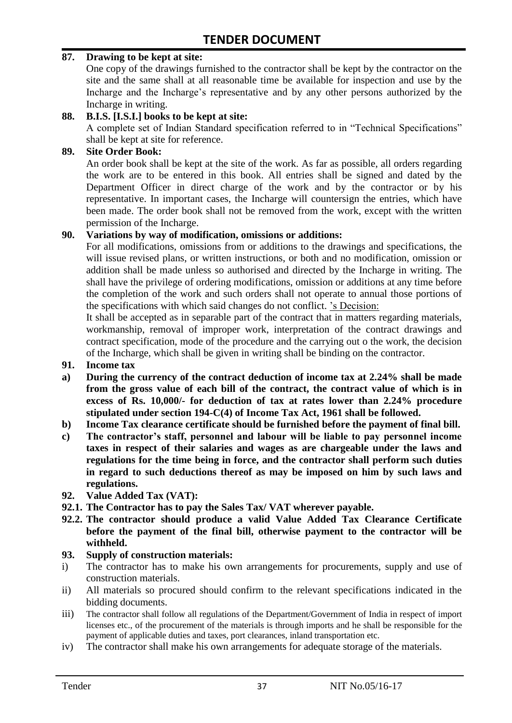#### **87. Drawing to be kept at site:**

One copy of the drawings furnished to the contractor shall be kept by the contractor on the site and the same shall at all reasonable time be available for inspection and use by the Incharge and the Incharge"s representative and by any other persons authorized by the Incharge in writing.

#### **88. B.I.S. [I.S.I.] books to be kept at site:**

A complete set of Indian Standard specification referred to in "Technical Specifications" shall be kept at site for reference.

#### **89. Site Order Book:**

An order book shall be kept at the site of the work. As far as possible, all orders regarding the work are to be entered in this book. All entries shall be signed and dated by the Department Officer in direct charge of the work and by the contractor or by his representative. In important cases, the Incharge will countersign the entries, which have been made. The order book shall not be removed from the work, except with the written permission of the Incharge.

#### **90. Variations by way of modification, omissions or additions:**

For all modifications, omissions from or additions to the drawings and specifications, the will issue revised plans, or written instructions, or both and no modification, omission or addition shall be made unless so authorised and directed by the Incharge in writing. The shall have the privilege of ordering modifications, omission or additions at any time before the completion of the work and such orders shall not operate to annual those portions of the specifications with which said changes do not conflict. "s Decision:

It shall be accepted as in separable part of the contract that in matters regarding materials, workmanship, removal of improper work, interpretation of the contract drawings and contract specification, mode of the procedure and the carrying out o the work, the decision of the Incharge, which shall be given in writing shall be binding on the contractor.

#### **91. Income tax**

- **a) During the currency of the contract deduction of income tax at 2.24% shall be made from the gross value of each bill of the contract, the contract value of which is in excess of Rs. 10,000/- for deduction of tax at rates lower than 2.24% procedure stipulated under section 194-C(4) of Income Tax Act, 1961 shall be followed.**
- **b) Income Tax clearance certificate should be furnished before the payment of final bill.**
- **c) The contractor's staff, personnel and labour will be liable to pay personnel income taxes in respect of their salaries and wages as are chargeable under the laws and regulations for the time being in force, and the contractor shall perform such duties in regard to such deductions thereof as may be imposed on him by such laws and regulations.**
- **92. Value Added Tax (VAT):**
- **92.1. The Contractor has to pay the Sales Tax/ VAT wherever payable.**
- **92.2. The contractor should produce a valid Value Added Tax Clearance Certificate before the payment of the final bill, otherwise payment to the contractor will be withheld.**

#### **93. Supply of construction materials:**

- i) The contractor has to make his own arrangements for procurements, supply and use of construction materials.
- ii) All materials so procured should confirm to the relevant specifications indicated in the bidding documents.
- iii) The contractor shall follow all regulations of the Department/Government of India in respect of import licenses etc., of the procurement of the materials is through imports and he shall be responsible for the payment of applicable duties and taxes, port clearances, inland transportation etc.
- iv) The contractor shall make his own arrangements for adequate storage of the materials.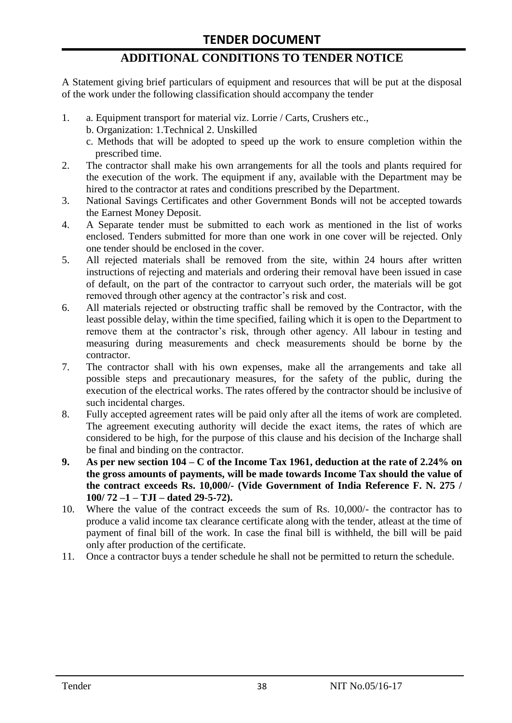# **ADDITIONAL CONDITIONS TO TENDER NOTICE**

A Statement giving brief particulars of equipment and resources that will be put at the disposal of the work under the following classification should accompany the tender

- 1. a. Equipment transport for material viz. Lorrie / Carts, Crushers etc.,
	- b. Organization: 1.Technical 2. Unskilled
	- c. Methods that will be adopted to speed up the work to ensure completion within the prescribed time.
- 2. The contractor shall make his own arrangements for all the tools and plants required for the execution of the work. The equipment if any, available with the Department may be hired to the contractor at rates and conditions prescribed by the Department.
- 3. National Savings Certificates and other Government Bonds will not be accepted towards the Earnest Money Deposit.
- 4. A Separate tender must be submitted to each work as mentioned in the list of works enclosed. Tenders submitted for more than one work in one cover will be rejected. Only one tender should be enclosed in the cover.
- 5. All rejected materials shall be removed from the site, within 24 hours after written instructions of rejecting and materials and ordering their removal have been issued in case of default, on the part of the contractor to carryout such order, the materials will be got removed through other agency at the contractor's risk and cost.
- 6. All materials rejected or obstructing traffic shall be removed by the Contractor, with the least possible delay, within the time specified, failing which it is open to the Department to remove them at the contractor's risk, through other agency. All labour in testing and measuring during measurements and check measurements should be borne by the contractor.
- 7. The contractor shall with his own expenses, make all the arrangements and take all possible steps and precautionary measures, for the safety of the public, during the execution of the electrical works. The rates offered by the contractor should be inclusive of such incidental charges.
- 8. Fully accepted agreement rates will be paid only after all the items of work are completed. The agreement executing authority will decide the exact items, the rates of which are considered to be high, for the purpose of this clause and his decision of the Incharge shall be final and binding on the contractor.
- **9. As per new section 104 – C of the Income Tax 1961, deduction at the rate of 2.24% on the gross amounts of payments, will be made towards Income Tax should the value of the contract exceeds Rs. 10,000/- (Vide Government of India Reference F. N. 275 / 100/ 72 –1 – TJI – dated 29-5-72).**
- 10. Where the value of the contract exceeds the sum of Rs. 10,000/- the contractor has to produce a valid income tax clearance certificate along with the tender, atleast at the time of payment of final bill of the work. In case the final bill is withheld, the bill will be paid only after production of the certificate.
- 11. Once a contractor buys a tender schedule he shall not be permitted to return the schedule.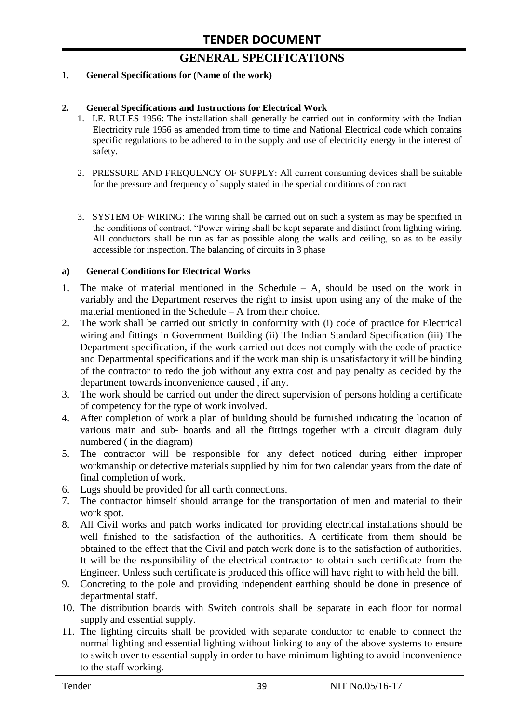# **GENERAL SPECIFICATIONS**

#### **1. General Specifications for (Name of the work)**

#### **2. General Specifications and Instructions for Electrical Work**

- 1. I.E. RULES 1956: The installation shall generally be carried out in conformity with the Indian Electricity rule 1956 as amended from time to time and National Electrical code which contains specific regulations to be adhered to in the supply and use of electricity energy in the interest of safety.
- 2. PRESSURE AND FREQUENCY OF SUPPLY: All current consuming devices shall be suitable for the pressure and frequency of supply stated in the special conditions of contract
- 3. SYSTEM OF WIRING: The wiring shall be carried out on such a system as may be specified in the conditions of contract. "Power wiring shall be kept separate and distinct from lighting wiring. All conductors shall be run as far as possible along the walls and ceiling, so as to be easily accessible for inspection. The balancing of circuits in 3 phase

#### **a) General Conditions for Electrical Works**

- 1. The make of material mentioned in the Schedule A, should be used on the work in variably and the Department reserves the right to insist upon using any of the make of the material mentioned in the Schedule – A from their choice.
- 2. The work shall be carried out strictly in conformity with (i) code of practice for Electrical wiring and fittings in Government Building (ii) The Indian Standard Specification (iii) The Department specification, if the work carried out does not comply with the code of practice and Departmental specifications and if the work man ship is unsatisfactory it will be binding of the contractor to redo the job without any extra cost and pay penalty as decided by the department towards inconvenience caused , if any.
- 3. The work should be carried out under the direct supervision of persons holding a certificate of competency for the type of work involved.
- 4. After completion of work a plan of building should be furnished indicating the location of various main and sub- boards and all the fittings together with a circuit diagram duly numbered ( in the diagram)
- 5. The contractor will be responsible for any defect noticed during either improper workmanship or defective materials supplied by him for two calendar years from the date of final completion of work.
- 6. Lugs should be provided for all earth connections.
- 7. The contractor himself should arrange for the transportation of men and material to their work spot.
- 8. All Civil works and patch works indicated for providing electrical installations should be well finished to the satisfaction of the authorities. A certificate from them should be obtained to the effect that the Civil and patch work done is to the satisfaction of authorities. It will be the responsibility of the electrical contractor to obtain such certificate from the Engineer. Unless such certificate is produced this office will have right to with held the bill.
- 9. Concreting to the pole and providing independent earthing should be done in presence of departmental staff.
- 10. The distribution boards with Switch controls shall be separate in each floor for normal supply and essential supply.
- 11. The lighting circuits shall be provided with separate conductor to enable to connect the normal lighting and essential lighting without linking to any of the above systems to ensure to switch over to essential supply in order to have minimum lighting to avoid inconvenience to the staff working.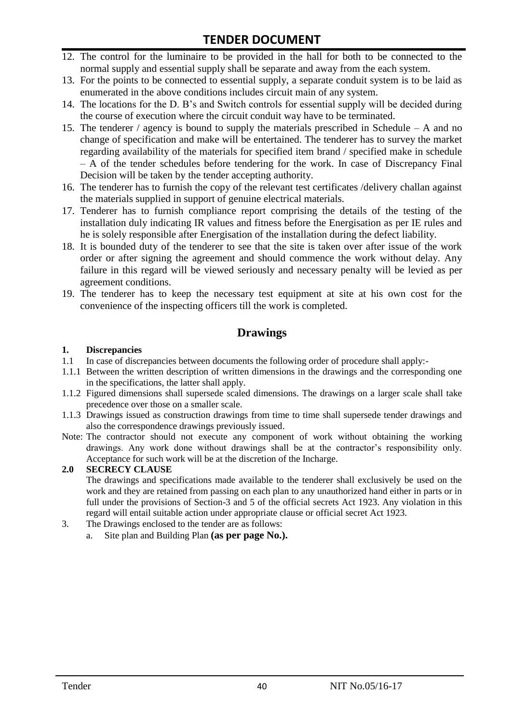# **TENDER DOCUMENT**

- 12. The control for the luminaire to be provided in the hall for both to be connected to the normal supply and essential supply shall be separate and away from the each system.
- 13. For the points to be connected to essential supply, a separate conduit system is to be laid as enumerated in the above conditions includes circuit main of any system.
- 14. The locations for the D. B"s and Switch controls for essential supply will be decided during the course of execution where the circuit conduit way have to be terminated.
- 15. The tenderer / agency is bound to supply the materials prescribed in Schedule A and no change of specification and make will be entertained. The tenderer has to survey the market regarding availability of the materials for specified item brand / specified make in schedule – A of the tender schedules before tendering for the work. In case of Discrepancy Final Decision will be taken by the tender accepting authority.
- 16. The tenderer has to furnish the copy of the relevant test certificates /delivery challan against the materials supplied in support of genuine electrical materials.
- 17. Tenderer has to furnish compliance report comprising the details of the testing of the installation duly indicating IR values and fitness before the Energisation as per IE rules and he is solely responsible after Energisation of the installation during the defect liability.
- 18. It is bounded duty of the tenderer to see that the site is taken over after issue of the work order or after signing the agreement and should commence the work without delay. Any failure in this regard will be viewed seriously and necessary penalty will be levied as per agreement conditions.
- 19. The tenderer has to keep the necessary test equipment at site at his own cost for the convenience of the inspecting officers till the work is completed.

#### **Drawings**

#### **1. Discrepancies**

- 1.1 In case of discrepancies between documents the following order of procedure shall apply:-
- 1.1.1 Between the written description of written dimensions in the drawings and the corresponding one in the specifications, the latter shall apply.
- 1.1.2 Figured dimensions shall supersede scaled dimensions. The drawings on a larger scale shall take precedence over those on a smaller scale.
- 1.1.3 Drawings issued as construction drawings from time to time shall supersede tender drawings and also the correspondence drawings previously issued.
- Note: The contractor should not execute any component of work without obtaining the working drawings. Any work done without drawings shall be at the contractor"s responsibility only. Acceptance for such work will be at the discretion of the Incharge.

#### **2.0 SECRECY CLAUSE**

The drawings and specifications made available to the tenderer shall exclusively be used on the work and they are retained from passing on each plan to any unauthorized hand either in parts or in full under the provisions of Section-3 and 5 of the official secrets Act 1923. Any violation in this regard will entail suitable action under appropriate clause or official secret Act 1923.

- 3. The Drawings enclosed to the tender are as follows:
	- a. Site plan and Building Plan **(as per page No.).**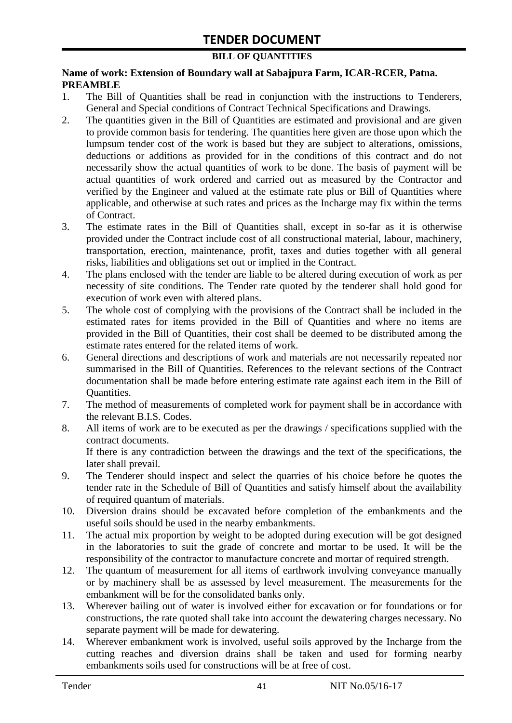#### **BILL OF QUANTITIES**

#### **Name of work: Extension of Boundary wall at Sabajpura Farm, ICAR-RCER, Patna. PREAMBLE**

- 1. The Bill of Quantities shall be read in conjunction with the instructions to Tenderers, General and Special conditions of Contract Technical Specifications and Drawings.
- 2. The quantities given in the Bill of Quantities are estimated and provisional and are given to provide common basis for tendering. The quantities here given are those upon which the lumpsum tender cost of the work is based but they are subject to alterations, omissions, deductions or additions as provided for in the conditions of this contract and do not necessarily show the actual quantities of work to be done. The basis of payment will be actual quantities of work ordered and carried out as measured by the Contractor and verified by the Engineer and valued at the estimate rate plus or Bill of Quantities where applicable, and otherwise at such rates and prices as the Incharge may fix within the terms of Contract.
- 3. The estimate rates in the Bill of Quantities shall, except in so-far as it is otherwise provided under the Contract include cost of all constructional material, labour, machinery, transportation, erection, maintenance, profit, taxes and duties together with all general risks, liabilities and obligations set out or implied in the Contract.
- 4. The plans enclosed with the tender are liable to be altered during execution of work as per necessity of site conditions. The Tender rate quoted by the tenderer shall hold good for execution of work even with altered plans.
- 5. The whole cost of complying with the provisions of the Contract shall be included in the estimated rates for items provided in the Bill of Quantities and where no items are provided in the Bill of Quantities, their cost shall be deemed to be distributed among the estimate rates entered for the related items of work.
- 6. General directions and descriptions of work and materials are not necessarily repeated nor summarised in the Bill of Quantities. References to the relevant sections of the Contract documentation shall be made before entering estimate rate against each item in the Bill of Quantities.
- 7. The method of measurements of completed work for payment shall be in accordance with the relevant B.I.S. Codes.
- 8. All items of work are to be executed as per the drawings / specifications supplied with the contract documents. If there is any contradiction between the drawings and the text of the specifications, the
- later shall prevail. 9. The Tenderer should inspect and select the quarries of his choice before he quotes the tender rate in the Schedule of Bill of Quantities and satisfy himself about the availability of required quantum of materials.
- 10. Diversion drains should be excavated before completion of the embankments and the useful soils should be used in the nearby embankments.
- 11. The actual mix proportion by weight to be adopted during execution will be got designed in the laboratories to suit the grade of concrete and mortar to be used. It will be the responsibility of the contractor to manufacture concrete and mortar of required strength.
- 12. The quantum of measurement for all items of earthwork involving conveyance manually or by machinery shall be as assessed by level measurement. The measurements for the embankment will be for the consolidated banks only.
- 13. Wherever bailing out of water is involved either for excavation or for foundations or for constructions, the rate quoted shall take into account the dewatering charges necessary. No separate payment will be made for dewatering.
- 14. Wherever embankment work is involved, useful soils approved by the Incharge from the cutting reaches and diversion drains shall be taken and used for forming nearby embankments soils used for constructions will be at free of cost.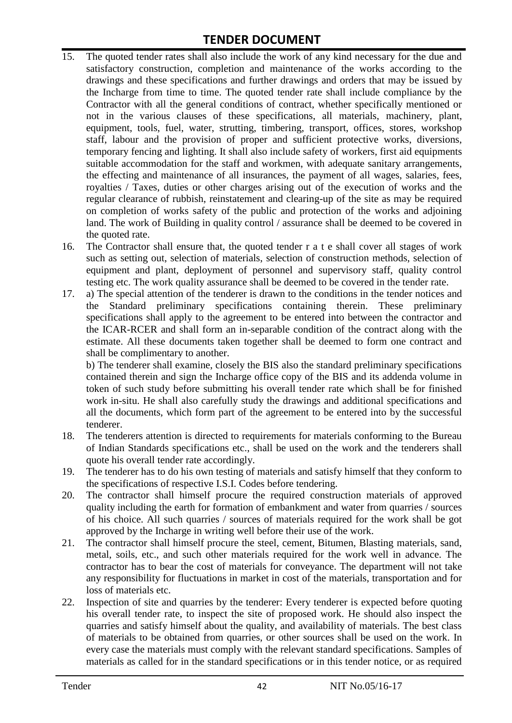# **TENDER DOCUMENT**

- 15. The quoted tender rates shall also include the work of any kind necessary for the due and satisfactory construction, completion and maintenance of the works according to the drawings and these specifications and further drawings and orders that may be issued by the Incharge from time to time. The quoted tender rate shall include compliance by the Contractor with all the general conditions of contract, whether specifically mentioned or not in the various clauses of these specifications, all materials, machinery, plant, equipment, tools, fuel, water, strutting, timbering, transport, offices, stores, workshop staff, labour and the provision of proper and sufficient protective works, diversions, temporary fencing and lighting. It shall also include safety of workers, first aid equipments suitable accommodation for the staff and workmen, with adequate sanitary arrangements, the effecting and maintenance of all insurances, the payment of all wages, salaries, fees, royalties / Taxes, duties or other charges arising out of the execution of works and the regular clearance of rubbish, reinstatement and clearing-up of the site as may be required on completion of works safety of the public and protection of the works and adjoining land. The work of Building in quality control / assurance shall be deemed to be covered in the quoted rate.
- 16. The Contractor shall ensure that, the quoted tender r a t e shall cover all stages of work such as setting out, selection of materials, selection of construction methods, selection of equipment and plant, deployment of personnel and supervisory staff, quality control testing etc. The work quality assurance shall be deemed to be covered in the tender rate.
- 17. a) The special attention of the tenderer is drawn to the conditions in the tender notices and the Standard preliminary specifications containing therein. These preliminary specifications shall apply to the agreement to be entered into between the contractor and the ICAR-RCER and shall form an in-separable condition of the contract along with the estimate. All these documents taken together shall be deemed to form one contract and shall be complimentary to another.

b) The tenderer shall examine, closely the BIS also the standard preliminary specifications contained therein and sign the Incharge office copy of the BIS and its addenda volume in token of such study before submitting his overall tender rate which shall be for finished work in-situ. He shall also carefully study the drawings and additional specifications and all the documents, which form part of the agreement to be entered into by the successful tenderer.

- 18. The tenderers attention is directed to requirements for materials conforming to the Bureau of Indian Standards specifications etc., shall be used on the work and the tenderers shall quote his overall tender rate accordingly.
- 19. The tenderer has to do his own testing of materials and satisfy himself that they conform to the specifications of respective I.S.I. Codes before tendering.
- 20. The contractor shall himself procure the required construction materials of approved quality including the earth for formation of embankment and water from quarries / sources of his choice. All such quarries / sources of materials required for the work shall be got approved by the Incharge in writing well before their use of the work.
- 21. The contractor shall himself procure the steel, cement, Bitumen, Blasting materials, sand, metal, soils, etc., and such other materials required for the work well in advance. The contractor has to bear the cost of materials for conveyance. The department will not take any responsibility for fluctuations in market in cost of the materials, transportation and for loss of materials etc.
- 22. Inspection of site and quarries by the tenderer: Every tenderer is expected before quoting his overall tender rate, to inspect the site of proposed work. He should also inspect the quarries and satisfy himself about the quality, and availability of materials. The best class of materials to be obtained from quarries, or other sources shall be used on the work. In every case the materials must comply with the relevant standard specifications. Samples of materials as called for in the standard specifications or in this tender notice, or as required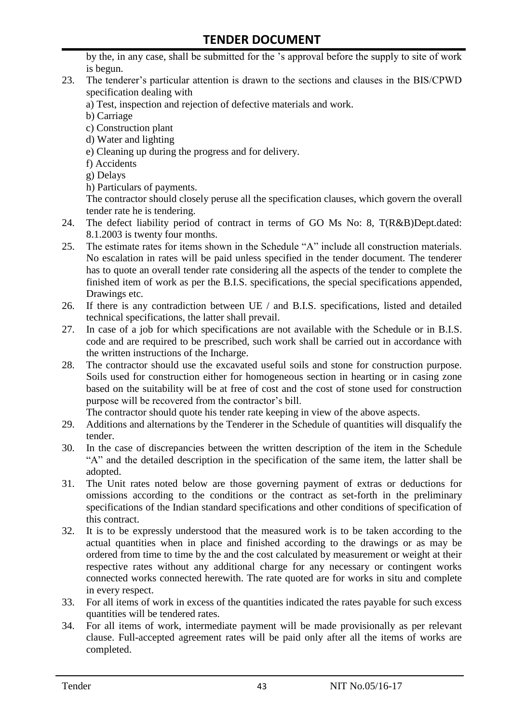by the, in any case, shall be submitted for the "s approval before the supply to site of work is begun.

- 23. The tenderer"s particular attention is drawn to the sections and clauses in the BIS/CPWD specification dealing with
	- a) Test, inspection and rejection of defective materials and work.
	- b) Carriage
	- c) Construction plant
	- d) Water and lighting
	- e) Cleaning up during the progress and for delivery.
	- f) Accidents
	- g) Delays
	- h) Particulars of payments.

The contractor should closely peruse all the specification clauses, which govern the overall tender rate he is tendering.

- 24. The defect liability period of contract in terms of GO Ms No: 8, T(R&B)Dept.dated: 8.1.2003 is twenty four months.
- 25. The estimate rates for items shown in the Schedule "A" include all construction materials. No escalation in rates will be paid unless specified in the tender document. The tenderer has to quote an overall tender rate considering all the aspects of the tender to complete the finished item of work as per the B.I.S. specifications, the special specifications appended, Drawings etc.
- 26. If there is any contradiction between UE / and B.I.S. specifications, listed and detailed technical specifications, the latter shall prevail.
- 27. In case of a job for which specifications are not available with the Schedule or in B.I.S. code and are required to be prescribed, such work shall be carried out in accordance with the written instructions of the Incharge.
- 28. The contractor should use the excavated useful soils and stone for construction purpose. Soils used for construction either for homogeneous section in hearting or in casing zone based on the suitability will be at free of cost and the cost of stone used for construction purpose will be recovered from the contractor's bill.

The contractor should quote his tender rate keeping in view of the above aspects.

- 29. Additions and alternations by the Tenderer in the Schedule of quantities will disqualify the tender.
- 30. In the case of discrepancies between the written description of the item in the Schedule "A" and the detailed description in the specification of the same item, the latter shall be adopted.
- 31. The Unit rates noted below are those governing payment of extras or deductions for omissions according to the conditions or the contract as set-forth in the preliminary specifications of the Indian standard specifications and other conditions of specification of this contract.
- 32. It is to be expressly understood that the measured work is to be taken according to the actual quantities when in place and finished according to the drawings or as may be ordered from time to time by the and the cost calculated by measurement or weight at their respective rates without any additional charge for any necessary or contingent works connected works connected herewith. The rate quoted are for works in situ and complete in every respect.
- 33. For all items of work in excess of the quantities indicated the rates payable for such excess quantities will be tendered rates.
- 34. For all items of work, intermediate payment will be made provisionally as per relevant clause. Full-accepted agreement rates will be paid only after all the items of works are completed.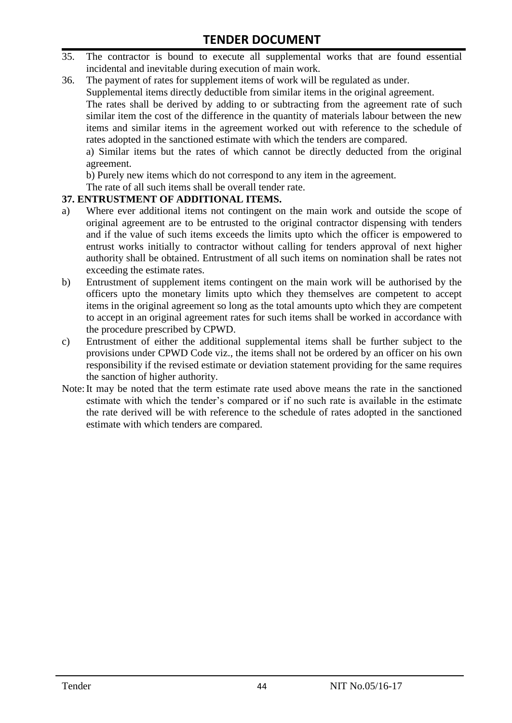- 35. The contractor is bound to execute all supplemental works that are found essential incidental and inevitable during execution of main work.
- 36. The payment of rates for supplement items of work will be regulated as under.

Supplemental items directly deductible from similar items in the original agreement.

The rates shall be derived by adding to or subtracting from the agreement rate of such similar item the cost of the difference in the quantity of materials labour between the new items and similar items in the agreement worked out with reference to the schedule of rates adopted in the sanctioned estimate with which the tenders are compared.

a) Similar items but the rates of which cannot be directly deducted from the original agreement.

b) Purely new items which do not correspond to any item in the agreement.

The rate of all such items shall be overall tender rate.

#### **37. ENTRUSTMENT OF ADDITIONAL ITEMS.**

- a) Where ever additional items not contingent on the main work and outside the scope of original agreement are to be entrusted to the original contractor dispensing with tenders and if the value of such items exceeds the limits upto which the officer is empowered to entrust works initially to contractor without calling for tenders approval of next higher authority shall be obtained. Entrustment of all such items on nomination shall be rates not exceeding the estimate rates.
- b) Entrustment of supplement items contingent on the main work will be authorised by the officers upto the monetary limits upto which they themselves are competent to accept items in the original agreement so long as the total amounts upto which they are competent to accept in an original agreement rates for such items shall be worked in accordance with the procedure prescribed by CPWD.
- c) Entrustment of either the additional supplemental items shall be further subject to the provisions under CPWD Code viz., the items shall not be ordered by an officer on his own responsibility if the revised estimate or deviation statement providing for the same requires the sanction of higher authority.
- Note:It may be noted that the term estimate rate used above means the rate in the sanctioned estimate with which the tender"s compared or if no such rate is available in the estimate the rate derived will be with reference to the schedule of rates adopted in the sanctioned estimate with which tenders are compared.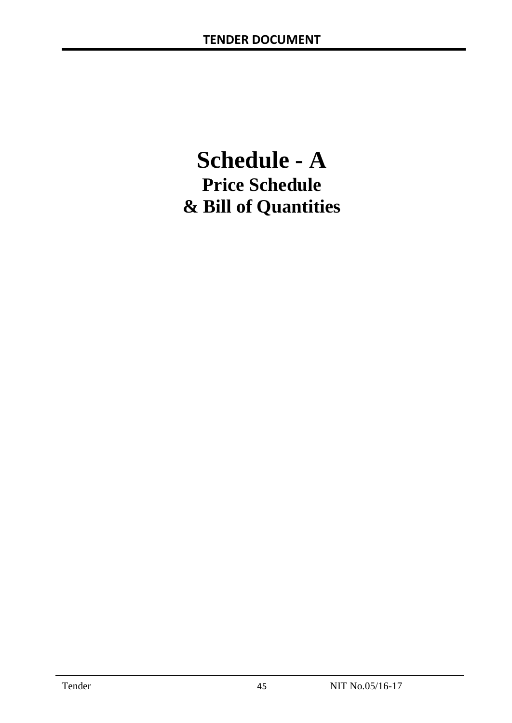# **Schedule - A Price Schedule & Bill of Quantities**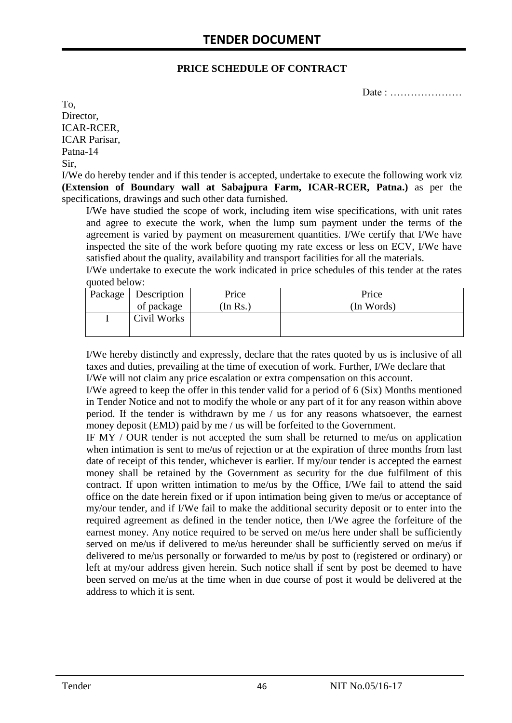#### **PRICE SCHEDULE OF CONTRACT**

Date : …………………

To, Director, ICAR-RCER, ICAR Parisar, Patna-14 Sir,

I/We do hereby tender and if this tender is accepted, undertake to execute the following work viz **(Extension of Boundary wall at Sabajpura Farm, ICAR-RCER, Patna.)** as per the specifications, drawings and such other data furnished.

I/We have studied the scope of work, including item wise specifications, with unit rates and agree to execute the work, when the lump sum payment under the terms of the agreement is varied by payment on measurement quantities. I/We certify that I/We have inspected the site of the work before quoting my rate excess or less on ECV, I/We have satisfied about the quality, availability and transport facilities for all the materials.

I/We undertake to execute the work indicated in price schedules of this tender at the rates quoted below:

| Package   Description | Price    | Price      |
|-----------------------|----------|------------|
| of package            | (In Rs.) | (In Words) |
| Civil Works           |          |            |
|                       |          |            |

I/We hereby distinctly and expressly, declare that the rates quoted by us is inclusive of all taxes and duties, prevailing at the time of execution of work. Further, I/We declare that I/We will not claim any price escalation or extra compensation on this account.

I/We agreed to keep the offer in this tender valid for a period of 6 (Six) Months mentioned in Tender Notice and not to modify the whole or any part of it for any reason within above period. If the tender is withdrawn by me / us for any reasons whatsoever, the earnest money deposit (EMD) paid by me / us will be forfeited to the Government.

IF MY / OUR tender is not accepted the sum shall be returned to me/us on application when intimation is sent to me/us of rejection or at the expiration of three months from last date of receipt of this tender, whichever is earlier. If my/our tender is accepted the earnest money shall be retained by the Government as security for the due fulfilment of this contract. If upon written intimation to me/us by the Office, I/We fail to attend the said office on the date herein fixed or if upon intimation being given to me/us or acceptance of my/our tender, and if I/We fail to make the additional security deposit or to enter into the required agreement as defined in the tender notice, then I/We agree the forfeiture of the earnest money. Any notice required to be served on me/us here under shall be sufficiently served on me/us if delivered to me/us hereunder shall be sufficiently served on me/us if delivered to me/us personally or forwarded to me/us by post to (registered or ordinary) or left at my/our address given herein. Such notice shall if sent by post be deemed to have been served on me/us at the time when in due course of post it would be delivered at the address to which it is sent.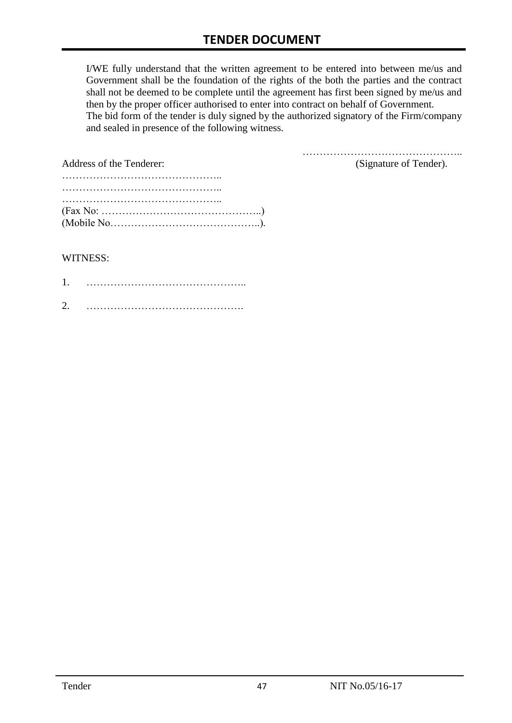I/WE fully understand that the written agreement to be entered into between me/us and Government shall be the foundation of the rights of the both the parties and the contract shall not be deemed to be complete until the agreement has first been signed by me/us and then by the proper officer authorised to enter into contract on behalf of Government. The bid form of the tender is duly signed by the authorized signatory of the Firm/company and sealed in presence of the following witness.

| Address of the Tenderer:                                                                  | (Signature of Tender). |
|-------------------------------------------------------------------------------------------|------------------------|
|                                                                                           |                        |
|                                                                                           |                        |
|                                                                                           |                        |
| $(Fax No: \dots \dots \dots \dots \dots \dots \dots \dots \dots \dots \dots \dots \dots)$ |                        |
|                                                                                           |                        |

#### WITNESS:

| ⌒ |  |
|---|--|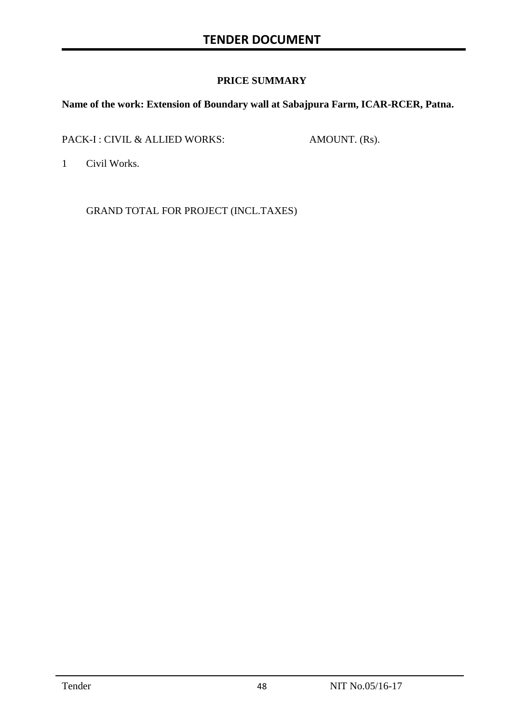#### **PRICE SUMMARY**

#### **Name of the work: Extension of Boundary wall at Sabajpura Farm, ICAR-RCER, Patna.**

PACK-I : CIVIL & ALLIED WORKS: AMOUNT. (Rs).

1 Civil Works.

GRAND TOTAL FOR PROJECT (INCL.TAXES)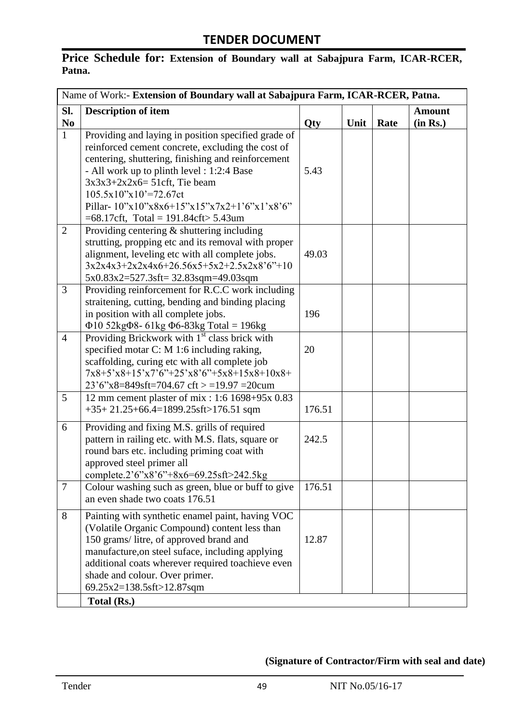## **Price Schedule for: Extension of Boundary wall at Sabajpura Farm, ICAR-RCER, Patna.**

| Name of Work:- Extension of Boundary wall at Sabajpura Farm, ICAR-RCER, Patna. |                                                                                                                                                                                                                                                                                                                                                                                       |        |      |      |                           |
|--------------------------------------------------------------------------------|---------------------------------------------------------------------------------------------------------------------------------------------------------------------------------------------------------------------------------------------------------------------------------------------------------------------------------------------------------------------------------------|--------|------|------|---------------------------|
| SI.<br>$\bf No$                                                                | <b>Description of item</b>                                                                                                                                                                                                                                                                                                                                                            | Qty    | Unit | Rate | <b>Amount</b><br>(in Rs.) |
| $\mathbf{1}$                                                                   | Providing and laying in position specified grade of<br>reinforced cement concrete, excluding the cost of<br>centering, shuttering, finishing and reinforcement<br>- All work up to plinth level : 1:2:4 Base<br>$3x3x3+2x2x6=51$ cft, Tie beam<br>$105.5x10''x10'=72.67ct$<br>Pillar- $10^{9}x10^{9}x8x6+15^{9}x15^{9}x7x2+1'6''x1'x8'6''$<br>$=68.17$ cft, Total = 191.84cft> 5.43um | 5.43   |      |      |                           |
| $\overline{2}$                                                                 | Providing centering $\&$ shuttering including<br>strutting, propping etc and its removal with proper<br>alignment, leveling etc with all complete jobs.<br>$3x2x4x3+2x2x4x6+26.56x5+5x2+2.5x2x8'6"+10$<br>$5x0.83x2=527.3sft=32.83sqm=49.03sqm$                                                                                                                                       | 49.03  |      |      |                           |
| 3                                                                              | Providing reinforcement for R.C.C work including<br>straitening, cutting, bending and binding placing<br>in position with all complete jobs.<br>$\Phi$ 10 52kg $\Phi$ 8- 61kg $\Phi$ 6-83kg Total = 196kg                                                                                                                                                                             | 196    |      |      |                           |
| $\overline{4}$                                                                 | Providing Brickwork with 1 <sup>st</sup> class brick with<br>specified motar C: M 1:6 including raking,<br>scaffolding, curing etc with all complete job<br>7x8+5'x8+15'x7'6"+25'x8'6"+5x8+15x8+10x8+<br>$23'6''x8=849sft=704.67 \text{ cft} > 19.97 = 20 \text{cum}$                                                                                                                 | 20     |      |      |                           |
| 5                                                                              | 12 mm cement plaster of mix: 1:6 1698+95x 0.83<br>$+35+21.25+66.4=1899.25$ sft>176.51 sqm                                                                                                                                                                                                                                                                                             | 176.51 |      |      |                           |
| 6                                                                              | Providing and fixing M.S. grills of required<br>pattern in railing etc. with M.S. flats, square or<br>round bars etc. including priming coat with<br>approved steel primer all<br>complete.2'6"x8'6"+8x6=69.25sft>242.5kg                                                                                                                                                             | 242.5  |      |      |                           |
| $\tau$                                                                         | Colour washing such as green, blue or buff to give<br>an even shade two coats 176.51                                                                                                                                                                                                                                                                                                  | 176.51 |      |      |                           |
| 8                                                                              | Painting with synthetic enamel paint, having VOC<br>(Volatile Organic Compound) content less than<br>150 grams/litre, of approved brand and<br>manufacture, on steel suface, including applying<br>additional coats wherever required toachieve even<br>shade and colour. Over primer.<br>69.25x2=138.5sft>12.87sqm                                                                   | 12.87  |      |      |                           |
|                                                                                | Total (Rs.)                                                                                                                                                                                                                                                                                                                                                                           |        |      |      |                           |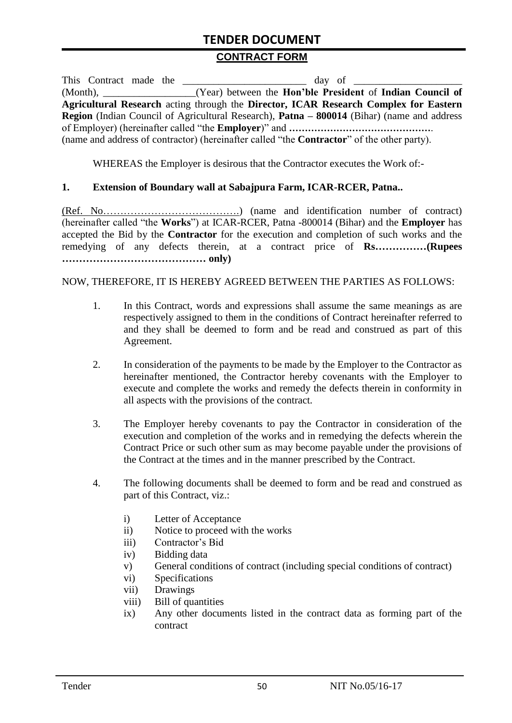## **TENDER DOCUMENT**

#### **CONTRACT FORM**

| This Contract made the |                                                                                                          |
|------------------------|----------------------------------------------------------------------------------------------------------|
|                        | (Month), _______________(Year) between the Hon'ble President of Indian Council of                        |
|                        | Agricultural Research acting through the Director, ICAR Research Complex for Eastern                     |
|                        | <b>Region</b> (Indian Council of Agricultural Research), <b>Patna – 800014</b> (Bihar) (name and address |
|                        |                                                                                                          |
|                        | (name and address of contractor) (hereinafter called "the <b>Contractor</b> " of the other party).       |

WHEREAS the Employer is desirous that the Contractor executes the Work of:-

#### **1. Extension of Boundary wall at Sabajpura Farm, ICAR-RCER, Patna..**

(Ref. No………………………………….) (name and identification number of contract) (hereinafter called "the **Works**") at ICAR-RCER, Patna -800014 (Bihar) and the **Employer** has accepted the Bid by the **Contractor** for the execution and completion of such works and the remedying of any defects therein, at a contract price of **Rs……………(Rupees …………………………………… only)**

#### NOW, THEREFORE, IT IS HEREBY AGREED BETWEEN THE PARTIES AS FOLLOWS:

- 1. In this Contract, words and expressions shall assume the same meanings as are respectively assigned to them in the conditions of Contract hereinafter referred to and they shall be deemed to form and be read and construed as part of this Agreement.
- 2. In consideration of the payments to be made by the Employer to the Contractor as hereinafter mentioned, the Contractor hereby covenants with the Employer to execute and complete the works and remedy the defects therein in conformity in all aspects with the provisions of the contract.
- 3. The Employer hereby covenants to pay the Contractor in consideration of the execution and completion of the works and in remedying the defects wherein the Contract Price or such other sum as may become payable under the provisions of the Contract at the times and in the manner prescribed by the Contract.
- 4. The following documents shall be deemed to form and be read and construed as part of this Contract, viz.:
	- i) Letter of Acceptance
	- ii) Notice to proceed with the works
	- iii) Contractor's Bid
	- iv) Bidding data
	- v) General conditions of contract (including special conditions of contract)
	- vi) Specifications
	- vii) Drawings
	- viii) Bill of quantities
	- ix) Any other documents listed in the contract data as forming part of the contract